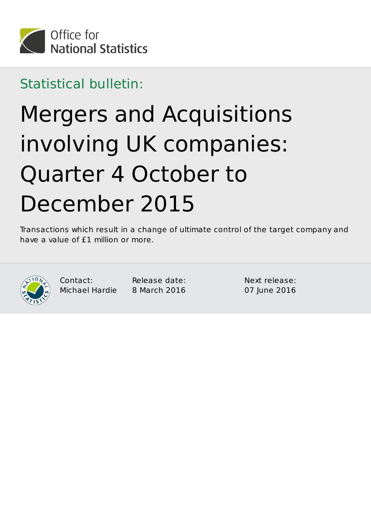

Statistical bulletin:

# Mergers and Acquisitions involving UK companies: Quarter 4 October to December 2015

Transactions which result in a change of ultimate control of the target company and have a value of  $£1$  million or more.



Contact: Michael Hardie

Release date: 8 March 2016

Next release: 07 June 2016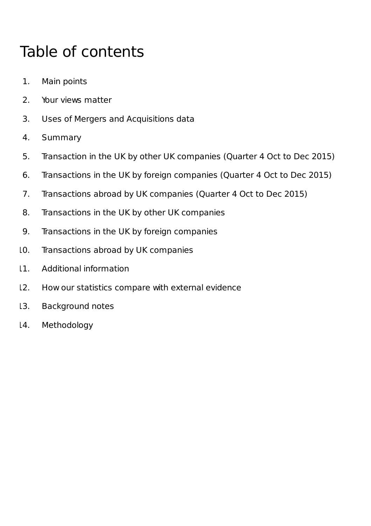# Table of contents

- 1. Main points
- 2. Your views matter
- 3. Uses of Mergers and Acquisitions data
- 4. Summary
- 5. Transaction in the UK by other UK companies (Quarter 4 Oct to Dec 2015)
- 6. Transactions in the UK by foreign companies (Quarter 4 Oct to Dec 2015)
- 7. Transactions abroad by UK companies (Quarter 4 Oct to Dec 2015)
- 8. Transactions in the UK by other UK companies
- 9. Transactions in the UK by foreign companies
- 10. Transactions abroad by UK companies
- 11. Additional information
- 12. How our statistics compare with external evidence
- 13. Background notes
- 14. Methodology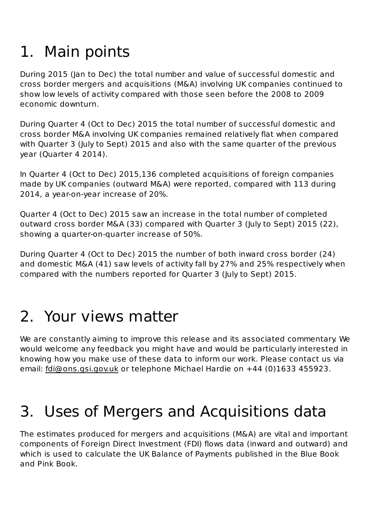# 1. Main points

During 2015 (Jan to Dec) the total number and value of successful domestic and cross border mergers and acquisitions (M&A) involving UK companies continued to show low levels of activity compared with those seen before the 2008 to 2009 economic downturn.

During Quarter 4 (Oct to Dec) 2015 the total number of successful domestic and cross border M&A involving UK companies remained relatively flat when compared with Quarter 3 (July to Sept) 2015 and also with the same quarter of the previous year (Quarter 4 2014).

In Quarter 4 (Oct to Dec) 2015,136 completed acquisitions of foreign companies made by UK companies (outward M&A) were reported, compared with 113 during 2014, a year-on-year increase of 20%.

Quarter 4 (Oct to Dec) 2015 saw an increase in the total number of completed outward cross border M&A (33) compared with Quarter 3 (July to Sept) 2015 (22), showing a quarter-on-quarter increase of 50%.

During Quarter 4 (Oct to Dec) 2015 the number of both inward cross border (24) and domestic M&A (41) saw levels of activity fall by 27% and 25% respectively when compared with the numbers reported for Quarter 3 (July to Sept) 2015.

# 2. Your views matter

We are constantly aiming to improve this release and its associated commentary. We would welcome any feedback you might have and would be particularly interested in knowing how you make use of these data to inform our work. Please contact us via email: fdi@ons.gsi.gov.uk or telephone Michael Hardie on +44 (0)1633 455923.

# 3. Uses of Mergers and Acquisitions data

The estimates produced for mergers and acquisitions (M&A) are vital and important components of Foreign Direct Investment (FDI) flows data (inward and outward) and which is used to calculate the UK Balance of Payments published in the Blue Book and Pink Book.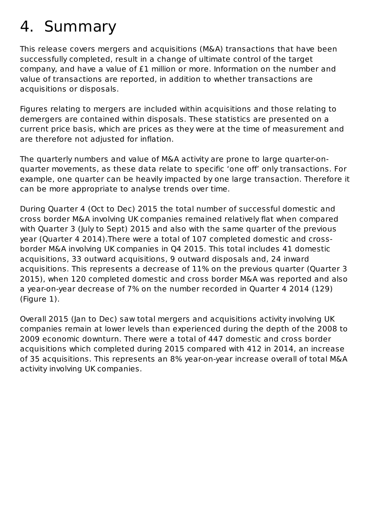# 4. Summary

This release covers mergers and acquisitions (M&A) transactions that have been successfully completed, result in a change of ultimate control of the target company, and have a value of £1 million or more. Information on the number and value of transactions are reported, in addition to whether transactions are acquisitions or disposals.

Figures relating to mergers are included within acquisitions and those relating to demergers are contained within disposals. These statistics are presented on a current price basis, which are prices as they were at the time of measurement and are therefore not adjusted for inflation.

The quarterly numbers and value of M&A activity are prone to large quarter-onguarter movements, as these data relate to specific 'one off' only transactions. For example, one quarter can be heavily impacted by one large transaction. Therefore it can be more appropriate to analyse trends over time.

During Quarter 4 (Oct to Dec) 2015 the total number of successful domestic and cross border M&A involving UK companies remained relatively flat when compared with Quarter 3 (July to Sept) 2015 and also with the same quarter of the previous year (Quarter 4 2014). There were a total of 107 completed domestic and crossborder M&A involving UK companies in Q4 2015. This total includes 41 domestic acquisitions, 33 outward acquisitions, 9 outward disposals and, 24 inward acquisitions. This represents a decrease of 11% on the previous quarter (Quarter 3 2015), when 120 completed domestic and cross border M&A was reported and also a year-on-year decrease of 7% on the number recorded in Quarter 4 2014 (129)  $(Figure 1)$ .

Overall 2015 (Jan to Dec) saw total mergers and acquisitions activity involving UK companies remain at lower levels than experienced during the depth of the 2008 to 2009 economic downturn. There were a total of 447 domestic and cross border acquisitions which completed during 2015 compared with 412 in 2014, an increase of 35 acquisitions. This represents an 8% year-on-year increase overall of total M&A activity involving UK companies.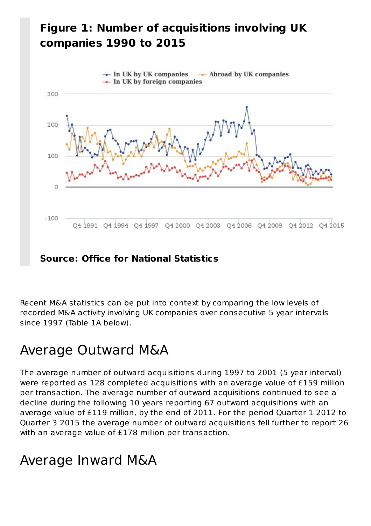### **Figure 1: Number of acquisitions involving UK companies 1990 to 2015**



Recent M&A statistics can be put into context by comparing the low levels of recorded M&A activity involving UK companies over consecutive 5 year intervals since 1997 (Table 1A below).

## Average Outward M&A

The average number of outward acquisitions during 1997 to 2001 (5 year interval) were reported as 128 completed acquisitions with an average value of £159 million per transaction. The average number of outward acquisitions continued to see a decline during the following 10 years reporting 67 outward acquisitions with an average value of £119 million, by the end of 2011. For the period Quarter 1 2012 to Quarter 3 2015 the average number of outward acquisitions fell further to report 26 with an average value of £178 million per transaction.

## Average Inward M&A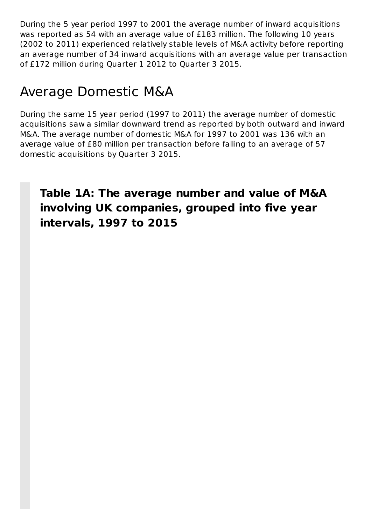During the 5 year period 1997 to 2001 the average number of inward acquisitions was reported as 54 with an average value of £183 million. The following 10 years (2002 to 2011) experienced relatively stable levels of M&A activity before reporting an average number of 34 inward acquisitions with an average value per transaction of £172 million during Quarter 1 2012 to Quarter 3 2015.

## Average Domestic M&A

During the same 15 year period (1997 to 2011) the average number of domestic acquisitions saw a similar downward trend as reported by both outward and inward M&A. The average number of domestic M&A for 1997 to 2001 was 136 with an average value of £80 million per transaction before falling to an average of 57 domestic acquisitions by Quarter 3 2015.

### Table 1A: The average number and value of M&A **involving UK companies, grouped into five year intervals, 1997 to 2015**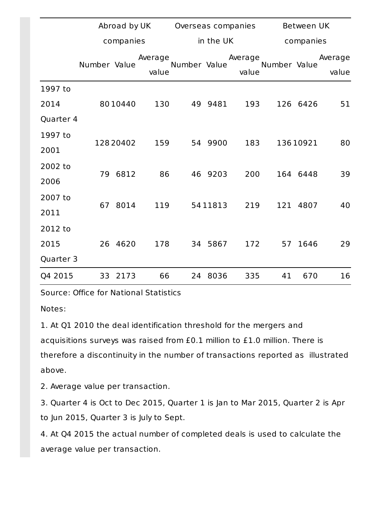|           | Abroad by UK |           |                  | Overseas companies |           |                  | Between UK   |           |                  |  |
|-----------|--------------|-----------|------------------|--------------------|-----------|------------------|--------------|-----------|------------------|--|
|           |              | companies |                  |                    | in the UK |                  |              | companies |                  |  |
|           | Number Value |           | Average<br>value | Number Value       |           | Average<br>value | Number Value |           | Average<br>value |  |
| 1997 to   |              |           |                  |                    |           |                  |              |           |                  |  |
| 2014      |              | 8010440   | 130              |                    | 49 9481   | 193              |              | 126 6426  | 51               |  |
| Quarter 4 |              |           |                  |                    |           |                  |              |           |                  |  |
| 1997 to   |              |           | 159              |                    | 54 9900   | 183              |              | 13610921  | 80               |  |
| 2001      | 12820402     |           |                  |                    |           |                  |              |           |                  |  |
| 2002 to   |              | 79 6812   | 86               |                    | 46 9203   | 200              |              | 164 6448  | 39               |  |
| 2006      |              |           |                  |                    |           |                  |              |           |                  |  |
| 2007 to   | 67           | 8014      | 119              |                    | 5411813   | 219              |              | 121 4807  | 40               |  |
| 2011      |              |           |                  |                    |           |                  |              |           |                  |  |
| 2012 to   |              |           |                  |                    |           |                  |              |           |                  |  |
| 2015      | 26           | 4620      | 178              |                    | 34 5867   | 172              | 57           | 1646      | 29               |  |
| Quarter 3 |              |           |                  |                    |           |                  |              |           |                  |  |
| Q4 2015   | 33           | 2173      | 66               |                    | 24 8036   | 335              | 41           | 670       | 16               |  |

Source: Office for National Statistics

Notes:

1. At Q1 2010 the deal identification threshold for the mergers and acquisitions surveys was raised from £0.1 million to £1.0 million. There is therefore a discontinuity in the number of transactions reported as illustrated above.

2. Average value per transaction.

3. Quarter 4 is Oct to Dec 2015, Quarter 1 is Jan to Mar 2015, Quarter 2 is Apr to Jun 2015, Quarter 3 is July to Sept.

4. At Q4 2015 the actual number of completed deals is used to calculate the average value per transaction.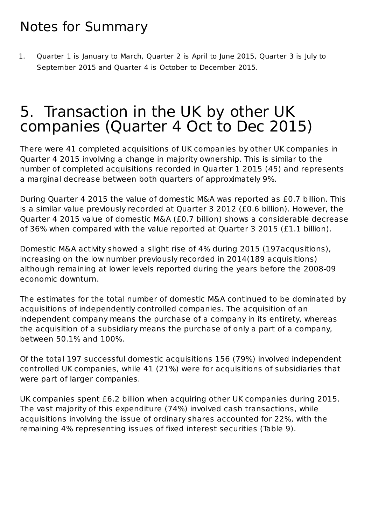## Notes for Summary

1. Quarter 1 is January to March, Quarter 2 is April to June 2015, Quarter 3 is July to September 2015 and Ouarter 4 is October to December 2015.

## 5. Transaction in the UK by other UK companies (Quarter 4 Oct to Dec 2015)

There were 41 completed acquisitions of UK companies by other UK companies in Quarter 4 2015 involving a change in majority ownership. This is similar to the number of completed acquisitions recorded in Quarter 1 2015 (45) and represents a marginal decrease between both quarters of approximately 9%.

During Quarter 4 2015 the value of domestic M&A was reported as £0.7 billion. This is a similar value previously recorded at Quarter 3 2012 (£0.6 billion). However, the Quarter 4 2015 value of domestic M&A (£0.7 billion) shows a considerable decrease of 36% when compared with the value reported at Quarter 3 2015 (£1.1 billion).

Domestic M&A activity showed a slight rise of 4% during 2015 (197acqusitions), increasing on the low number previously recorded in 2014(189 acquisitions) although remaining at lower levels reported during the years before the 2008-09 economic downturn.

The estimates for the total number of domestic M&A continued to be dominated by acquisitions of independently controlled companies. The acquisition of an independent company means the purchase of a company in its entirety, whereas the acquisition of a subsidiary means the purchase of only a part of a company, between 50.1% and 100%.

Of the total 197 successful domestic acquisitions 156 (79%) involved independent controlled UK companies, while 41 (21%) were for acquisitions of subsidiaries that were part of larger companies.

UK companies spent £6.2 billion when acquiring other UK companies during 2015. The vast majority of this expenditure (74%) involved cash transactions, while acquisitions involving the issue of ordinary shares accounted for 22%, with the remaining 4% representing issues of fixed interest securities (Table 9).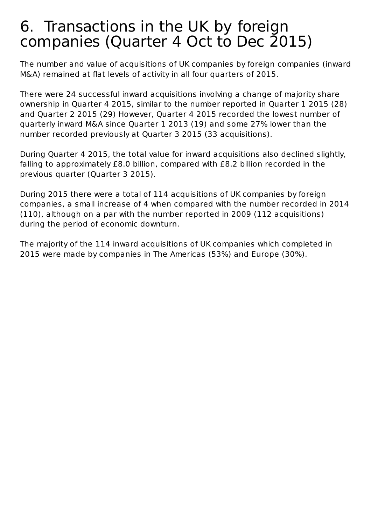## 6. Transactions in the UK by foreign companies (Quarter 4 Oct to Dec 2015)

The number and value of acquisitions of UK companies by foreign companies (inward M&A) remained at flat levels of activity in all four quarters of 2015.

There were 24 successful inward acquisitions involving a change of majority share ownership in Quarter 4 2015, similar to the number reported in Quarter 1 2015 (28) and Quarter 2 2015 (29) However, Quarter 4 2015 recorded the lowest number of guarterly inward M&A since Quarter 1 2013 (19) and some 27% lower than the number recorded previously at Quarter 3 2015 (33 acquisitions).

During Quarter 4 2015, the total value for inward acquisitions also declined slightly, falling to approximately £8.0 billion, compared with £8.2 billion recorded in the previous quarter (Quarter 3 2015).

During 2015 there were a total of 114 acquisitions of UK companies by foreign companies, a small increase of 4 when compared with the number recorded in 2014 (110), although on a par with the number reported in 2009 (112 acquisitions) during the period of economic downturn.

The majority of the 114 inward acquisitions of UK companies which completed in 2015 were made by companies in The Americas (53%) and Europe (30%).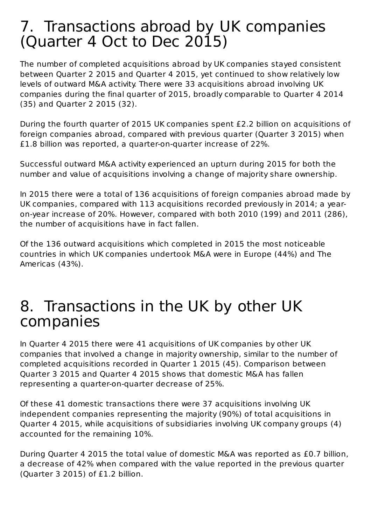## 7. Transactions abroad by UK companies (Quarter 4 Oct to Dec 2015)

The number of completed acquisitions abroad by UK companies stayed consistent between Quarter 2 2015 and Quarter 4 2015, yet continued to show relatively low levels of outward M&A activity. There were 33 acquisitions abroad involving UK companies during the final quarter of 2015, broadly comparable to Quarter 4 2014 (35) and Quarter 2 2015 (32).

During the fourth quarter of 2015 UK companies spent £2.2 billion on acquisitions of foreign companies abroad, compared with previous quarter (Quarter 3 2015) when £1.8 billion was reported, a quarter-on-quarter increase of 22%.

Successful outward M&A activity experienced an upturn during 2015 for both the number and value of acquisitions involving a change of majority share ownership.

In 2015 there were a total of 136 acquisitions of foreign companies abroad made by UK companies, compared with 113 acquisitions recorded previously in 2014; a yearon-year increase of 20%. However, compared with both 2010 (199) and 2011 (286), the number of acquisitions have in fact fallen.

Of the 136 outward acquisitions which completed in 2015 the most noticeable countries in which UK companies undertook M&A were in Europe (44%) and The Americas (43%).

## 8. Transactions in the UK by other UK companies

In Quarter 4 2015 there were 41 acquisitions of UK companies by other UK companies that involved a change in majority ownership, similar to the number of completed acquisitions recorded in Quarter 1 2015 (45). Comparison between Quarter 3 2015 and Quarter 4 2015 shows that domestic M&A has fallen representing a quarter-on-quarter decrease of 25%.

Of these 41 domestic transactions there were 37 acquisitions involving UK independent companies representing the majority (90%) of total acquisitions in Quarter 4 2015, while acquisitions of subsidiaries involving UK company groups (4) accounted for the remaining 10%.

During Quarter 4 2015 the total value of domestic M&A was reported as £0.7 billion, a decrease of 42% when compared with the value reported in the previous quarter (Quarter 3 2015) of £1.2 billion.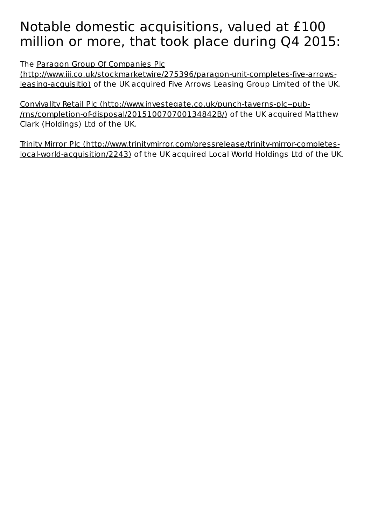## Notable domestic acquisitions, valued at £100 million or more, that took place during Q4 2015:

The Paragon Group Of Companies Plc

(http://www.iii.co.uk/stockmarketwire/275396/paragon-unit-completes-five-arrowsleasing-acquisitio) of the UK acquired Five Arrows Leasing Group Limited of the UK.

Convivality Retail Plc (http://www.investegate.co.uk/punch-taverns-plc--pub-/rns/completion-of-disposal/201510070700134842B/) of the UK acquired Matthew Clark (Holdings) Ltd of the UK.

Trinity Mirror Plc (http://www.trinitymirror.com/pressrelease/trinity-mirror-completeslocal-world-acquisition/2243) of the UK acquired Local World Holdings Ltd of the UK.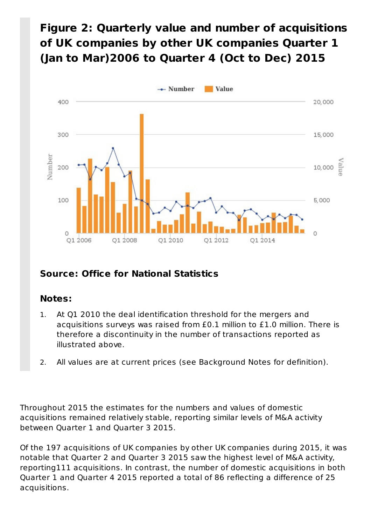### Figure 2: Quarterly value and number of acquisitions of UK companies by other UK companies Quarter 1 (Jan to Mar)2006 to Quarter 4 (Oct to Dec) 2015



### **Source: Office for National Statistics**

#### **Notes:**

- At Q1 2010 the deal identification threshold for the mergers and acquisitions surveys was raised from £0.1 million to £1.0 million. There is therefore a discontinuity in the number of transactions reported as illustrated above. 1.
- 2. All values are at current prices (see Background Notes for definition).

Throughout 2015 the estimates for the numbers and values of domestic acquisitions remained relatively stable, reporting similar levels of M&A activity between Quarter 1 and Quarter 3 2015.

Of the 197 acquisitions of UK companies by other UK companies during 2015, it was notable that Quarter 2 and Quarter 3 2015 saw the highest level of M&A activity, reporting111 acquisitions. In contrast, the number of domestic acquisitions in both Quarter 1 and Quarter 4 2015 reported a total of 86 reflecting a difference of 25 acquisitions.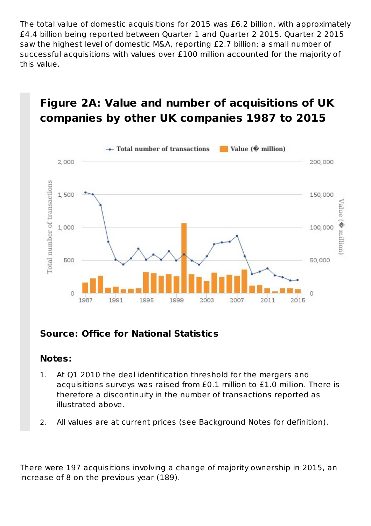The total value of domestic acquisitions for 2015 was £6.2 billion, with approximately £4.4 billion being reported between Quarter 1 and Quarter 2 2015. Quarter 2 2015 saw the highest level of domestic M&A, reporting £2.7 billion; a small number of successful acquisitions with values over £100 million accounted for the majority of this value.

### **Figure 2A: Value and number of acquisitions of UK companies by other UK companies 1987 to 2015**



### **Source: Office for National Statistics**

#### **Notes:**

- At Q1 2010 the deal identification threshold for the mergers and acquisitions surveys was raised from  $£0.1$  million to  $£1.0$  million. There is therefore a discontinuity in the number of transactions reported as illustrated above. 1.
- 2. All values are at current prices (see Background Notes for definition).

There were 197 acquisitions involving a change of majority ownership in 2015, an increase of 8 on the previous year (189).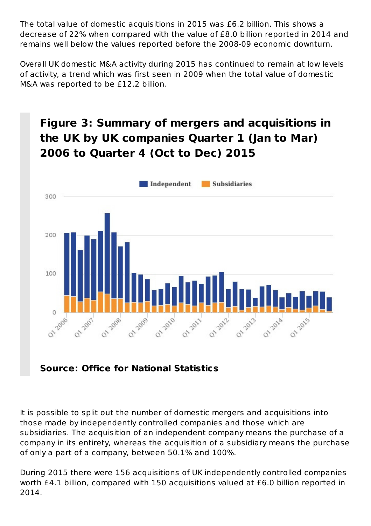The total value of domestic acquisitions in 2015 was £6.2 billion. This shows a decrease of 22% when compared with the value of £8.0 billion reported in 2014 and remains well below the values reported before the 2008-09 economic downturn.

Overall UK domestic M&A activity during 2015 has continued to remain at low levels of activity, a trend which was first seen in 2009 when the total value of domestic M&A was reported to be £12.2 billion.

## **Figure 3: Summary of mergers and acquisitions in** the UK by UK companies Quarter 1 (Jan to Mar) **2006 to Quarter 4 (Oct to Dec) 2015**



### **Source: Office for National Statistics**

It is possible to split out the number of domestic mergers and acquisitions into those made by independently controlled companies and those which are subsidiaries. The acquisition of an independent company means the purchase of a company in its entirety, whereas the acquisition of a subsidiary means the purchase of only a part of a company, between 50.1% and 100%.

During 2015 there were 156 acquisitions of UK independently controlled companies worth £4.1 billion, compared with 150 acquisitions valued at £6.0 billion reported in 2014.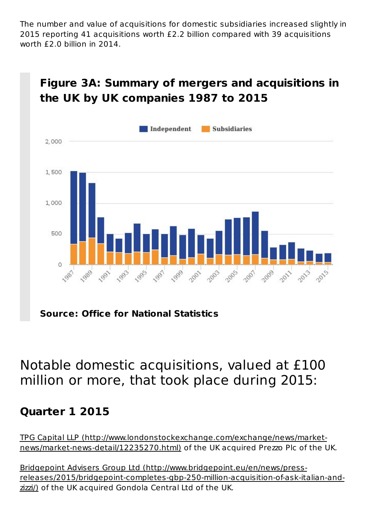The number and value of acquisitions for domestic subsidiaries increased slightly in 2015 reporting 41 acquisitions worth £2.2 billion compared with 39 acquisitions worth  $f$ 2.0 billion in 2014.



### **Figure 3A: Summary of mergers and acquisitions in** the UK by UK companies 1987 to 2015

**Source: Office for National Statistics**

## Notable domestic acquisitions, valued at £100 million or more, that took place during 2015:

### **Quarter 1 2015**

TPG Capital LLP (http://www.londonstockexchange.com/exchange/news/marketnews/market-news-detail/12235270.html) of the UK acquired Prezzo Plc of the UK.

Bridgepoint Advisers Group Ltd (http://www.bridgepoint.eu/en/news/pressreleases/2015/bridgepoint-completes-gbp-250-million-acquisition-of-ask-italian-andzizzi/) of the UK acquired Gondola Central Ltd of the UK.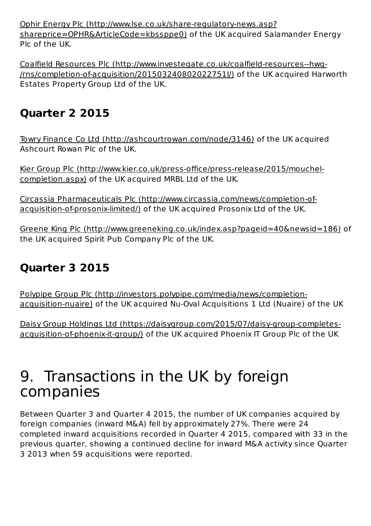Ophir Energy Plc (http://www.lse.co.uk/share-regulatory-news.asp? shareprice=OPHR&ArticleCode=kbssppe0) of the UK acquired Salamander Energy Plc of the UK.

Coalfield Resources Plc (http://www.investegate.co.uk/coalfield-resources--hwg-/rns/completion-of-acquisition/201503240802022751I/) of the UK acquired Harworth Estates Property Group Ltd of the UK.

### **Quarter 2 2015**

Towry Finance Co Ltd (http://ashcourtrowan.com/node/3146) of the UK acquired Ashcourt Rowan Plc of the UK.

Kier Group Plc (http://www.kier.co.uk/press-office/press-release/2015/mouchelcompletion.aspx) of the UK acquired MRBL Ltd of the UK.

Circassia Pharmaceuticals Plc (http://www.circassia.com/news/completion-ofacquisition-of-prosonix-limited/) of the UK acquired Prosonix Ltd of the UK.

Greene King Plc (http://www.greeneking.co.uk/index.asp?pageid=40&newsid=186) of the UK acquired Spirit Pub Company Plc of the UK.

### **Quarter 3 2015**

Polypipe Group Plc (http://investors.polypipe.com/media/news/completionacquisition-nuaire) of the UK acquired Nu-Oval Acquisitions 1 Ltd (Nuaire) of the UK

Daisy Group Holdings Ltd (https://daisygroup.com/2015/07/daisy-group-completesacquisition-of-phoenix-it-group/) of the UK acquired Phoenix IT Group Plc of the UK

## 9. Transactions in the UK by foreign companies

Between Quarter 3 and Quarter 4 2015, the number of UK companies acquired by foreign companies (inward M&A) fell by approximately 27%. There were 24 completed inward acquisitions recorded in Ouarter 4 2015, compared with 33 in the previous quarter, showing a continued decline for inward M&A activity since Quarter 3 2013 when 59 acquisitions were reported.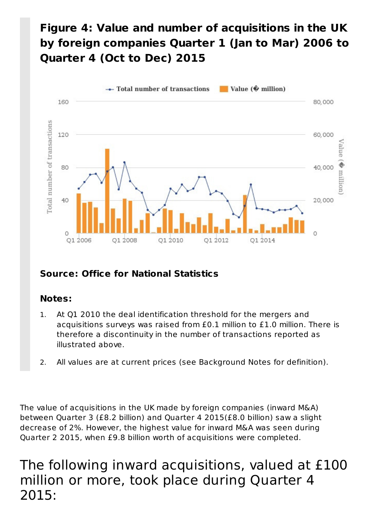## Figure 4: Value and number of acquisitions in the UK by foreign companies Quarter 1 (Jan to Mar) 2006 to **Quarter 4 (Oct to Dec) 2015**



### **Source: Office for National Statistics**

#### **Notes:**

- At Q1 2010 the deal identification threshold for the mergers and acquisitions surveys was raised from £0.1 million to £1.0 million. There is therefore a discontinuity in the number of transactions reported as illustrated above. 1.
- 2. All values are at current prices (see Background Notes for definition).

The value of acquisitions in the UK made by foreign companies (inward M&A) between Quarter 3 (£8.2 billion) and Quarter 4 2015(£8.0 billion) saw a slight decrease of 2%. However, the highest value for inward M&A was seen during Quarter 2 2015, when £9.8 billion worth of acquisitions were completed.

The following inward acquisitions, valued at £100 million or more, took place during Quarter 4 2015: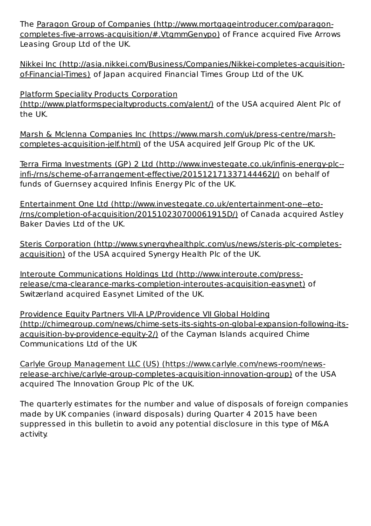The Paragon Group of Companies (http://www.mortgageintroducer.com/paragoncompletes-five-arrows-acquisition/#.VtgmmGenypo) of France acquired Five Arrows Leasing Group Ltd of the UK.

Nikkei Inc (http://asia.nikkei.com/Business/Companies/Nikkei-completes-acquisitionof-Financial-Times) of Japan acquired Financial Times Group Ltd of the UK.

Platform Speciality Products Corporation (http://www.platformspecialtyproducts.com/alent/) of the USA acquired Alent Plc of the UK.

Marsh & Mclenna Companies Inc (https://www.marsh.com/uk/press-centre/marshcompletes-acquisition-jelf.html) of the USA acquired Jelf Group Plc of the UK.

Terra Firma Investments (GP) 2 Ltd (http://www.investegate.co.uk/infinis-energy-plc-infi-/rns/scheme-of-arrangement-effective/201512171337144462J/) on behalf of funds of Guernsey acquired Infinis Energy Plc of the UK.

Entertainment One Ltd (http://www.investegate.co.uk/entertainment-one--eto-/rns/completion-of-acquisition/201510230700061915D/) of Canada acquired Astley Baker Davies Ltd of the UK.

Steris Corporation (http://www.synergyhealthplc.com/us/news/steris-plc-completesacquisition) of the USA acquired Synergy Health Plc of the UK.

Interoute Communications Holdings Ltd (http://www.interoute.com/pressrelease/cma-clearance-marks-completion-interoutes-acquisition-easynet) of Switzerland acquired Easynet Limited of the UK.

Providence Equity Partners VII-A LP/Providence VII Global Holding (http://chimegroup.com/news/chime-sets-its-sights-on-global-expansion-following-itsacquisition-by-providence-equity-2/) of the Cayman Islands acquired Chime Communications Ltd of the UK

Carlyle Group Management LLC (US) (https://www.carlyle.com/news-room/newsrelease-archive/carlyle-group-completes-acquisition-innovation-group) of the USA acquired The Innovation Group Plc of the UK.

The quarterly estimates for the number and value of disposals of foreign companies made by UK companies (inward disposals) during Quarter 4 2015 have been suppressed in this bulletin to avoid any potential disclosure in this type of M&A activity.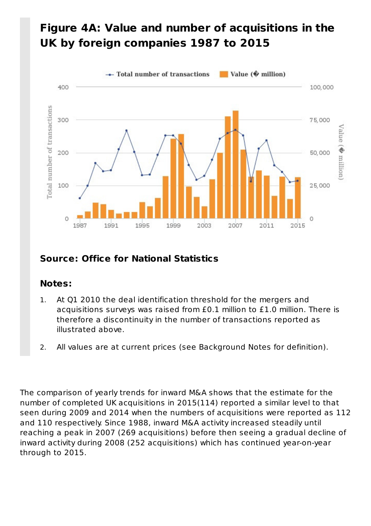### Figure 4A: Value and number of acquisitions in the UK by foreign companies 1987 to 2015



### **Source: Office for National Statistics**

### **Notes:**

- At Q1 2010 the deal identification threshold for the mergers and acquisitions surveys was raised from £0.1 million to £1.0 million. There is therefore a discontinuity in the number of transactions reported as illustrated above. 1.
- 2. All values are at current prices (see Background Notes for definition).

The comparison of yearly trends for inward M&A shows that the estimate for the number of completed UK acquisitions in 2015(114) reported a similar level to that seen during 2009 and 2014 when the numbers of acquisitions were reported as 112 and 110 respectively. Since 1988, inward M&A activity increased steadily until reaching a peak in 2007 (269 acquisitions) before then seeing a gradual decline of inward activity during 2008 (252 acquisitions) which has continued year-on-year through to 2015.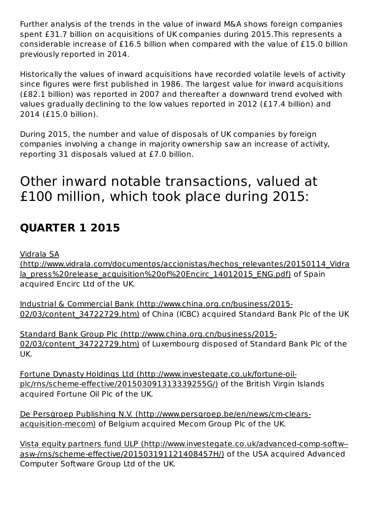Further analysis of the trends in the value of inward M&A shows foreign companies spent £31.7 billion on acquisitions of UK companies during 2015. This represents a considerable increase of £16.5 billion when compared with the value of £15.0 billion previously reported in 2014.

Historically the values of inward acquisitions have recorded volatile levels of activity since figures were first published in 1986. The largest value for inward acquisitions (£82.1 billion) was reported in 2007 and thereafter a downward trend evolved with values gradually declining to the low values reported in 2012 (£17.4 billion) and 2014 (£15.0 billion).

During 2015, the number and value of disposals of UK companies by foreign companies involving a change in majority ownership saw an increase of activity, reporting 31 disposals valued at £7.0 billion.

## Other inward notable transactions, valued at £100 million, which took place during 2015:

### **QUARTER 1 2015**

Vidrala SA

(http://www.vidrala.com/documentos/accionistas/hechos\_relevantes/20150114\_Vidra la\_press%20release\_acquisition%20of%20Encirc\_14012015\_ENG.pdf) of Spain acquired Encirc Ltd of the UK.

Industrial & Commercial Bank (http://www.china.org.cn/business/2015- 02/03/content 34722729.htm) of China (ICBC) acquired Standard Bank Plc of the UK

Standard Bank Group Plc (http://www.china.org.cn/business/2015-02/03/content 34722729.htm) of Luxembourg disposed of Standard Bank Plc of the UK.

Fortune Dynasty Holdings Ltd (http://www.investegate.co.uk/fortune-oilplc/rns/scheme-effective/201503091313339255G/) of the British Virgin Islands acquired Fortune Oil Plc of the UK.

De Persgroep Publishing N.V. (http://www.persgroep.be/en/news/cm-clearsacquisition-mecom) of Belgium acquired Mecom Group Plc of the UK.

Vista equity partners fund ULP (http://www.investegate.co.uk/advanced-comp-softw-asw-/rns/scheme-effective/201503191121408457H/) of the USA acquired Advanced Computer Software Group Ltd of the UK.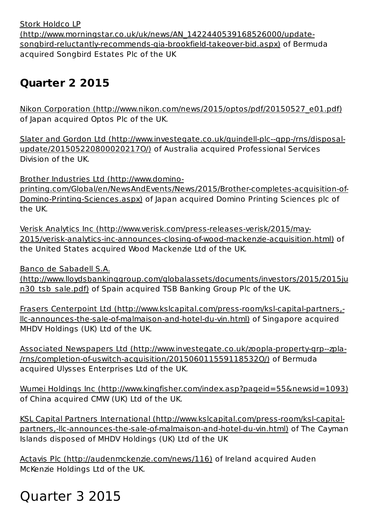Stork Holdco LP (http://www.morningstar.co.uk/uk/news/AN\_1422440539168526000/updatesongbird-reluctantly-recommends-gia-brookfield-takeover-bid.aspx) of Bermuda acquired Songbird Estates Plc of the UK

### **Quarter 2 2015**

Nikon Corporation (http://www.nikon.com/news/2015/optos/pdf/20150527\_e01.pdf) of Japan acquired Optos Plc of the UK.

Slater and Gordon Ltd (http://www.investegate.co.uk/quindell-plc--qpp-/rns/disposalupdate/201505220800020217O/) of Australia acquired Professional Services Division of the UK.

Brother Industries Ltd (http://www.domino-

printing.com/Global/en/NewsAndEvents/News/2015/Brother-completes-acquisition-of-Domino-Printing-Sciences.aspx) of Japan acquired Domino Printing Sciences plc of the UK.

Verisk Analytics Inc (http://www.verisk.com/press-releases-verisk/2015/may-2015/verisk-analytics-inc-announces-closing-of-wood-mackenzie-acquisition.html) of the United States acquired Wood Mackenzie Ltd of the UK.

Banco de Sabadell S.A.

(http://www.lloydsbankinggroup.com/globalassets/documents/investors/2015/2015ju n30 tsb sale.pdf) of Spain acquired TSB Banking Group Plc of the UK.

Frasers Centerpoint Ltd (http://www.kslcapital.com/press-room/ksl-capital-partners,llc-announces-the-sale-of-malmaison-and-hotel-du-vin.html) of Singapore acquired MHDV Holdings (UK) Ltd of the UK.

Associated Newspapers Ltd (http://www.investegate.co.uk/zoopla-property-grp--zpla-/rns/completion-of-uswitch-acquisition/201506011559118532O/) of Bermuda acquired Ulysses Enterprises Ltd of the UK.

Wumei Holdings Inc (http://www.kingfisher.com/index.asp?pageid=55&newsid=1093) of China acquired CMW (UK) Ltd of the UK.

KSL Capital Partners International (http://www.kslcapital.com/press-room/ksl-capitalpartners,-llc-announces-the-sale-of-malmaison-and-hotel-du-vin.html) of The Cayman Islands disposed of MHDV Holdings (UK) Ltd of the UK

Actavis Plc (http://audenmckenzie.com/news/116) of Ireland acquired Auden McKenzie Holdings Ltd of the UK.

# Quarter 3 2015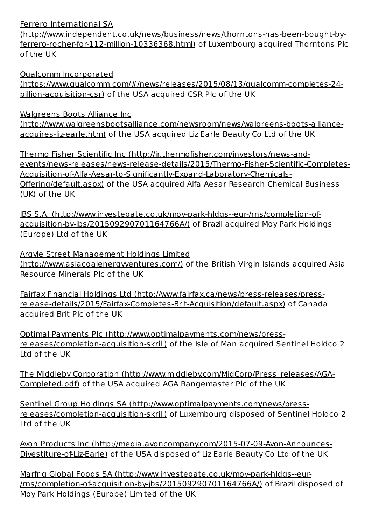#### Ferrero International SA

(http://www.independent.co.uk/news/business/news/thorntons-has-been-bought-byferrero-rocher-for-112-million-10336368.html) of Luxembourg acquired Thorntons Plc of the UK

Qualcomm Incorporated (https://www.qualcomm.com/#/news/releases/2015/08/13/qualcomm-completes-24 billion-acquisition-csr) of the USA acquired CSR Plc of the UK

Walgreens Boots Alliance Inc

(http://www.walgreensbootsalliance.com/newsroom/news/walgreens-boots-allianceacquires-liz-earle.htm) of the USA acquired Liz Earle Beauty Co Ltd of the UK

Thermo Fisher Scientific Inc (http://ir.thermofisher.com/investors/news-andevents/news-releases/news-release-details/2015/Thermo-Fisher-Scientific-Completes-Acquisition-of-Alfa-Aesar-to-Significantly-Expand-Laboratory-Chemicals-Offering/default.aspx) of the USA acquired Alfa Aesar Research Chemical Business (UK) of the UK

JBS S.A. (http://www.investegate.co.uk/moy-park-hldgs--eur-/rns/completion-ofacquisition-by-jbs/201509290701164766A/) of Brazil acquired Moy Park Holdings (Europe) Ltd of the UK

Argyle Street Management Holdings Limited (http://www.asiacoalenergyventures.com/) of the British Virgin Islands acquired Asia Resource Minerals Plc of the UK

Fairfax Financial Holdings Ltd (http://www.fairfax.ca/news/press-releases/pressrelease-details/2015/Fairfax-Completes-Brit-Acquisition/default.aspx) of Canada acquired Brit Plc of the UK

Optimal Payments Plc (http://www.optimalpayments.com/news/pressreleases/completion-acquisition-skrill) of the Isle of Man acquired Sentinel Holdco 2 Ltd of the UK

The Middleby Corporation (http://www.middleby.com/MidCorp/Press\_releases/AGA-Completed.pdf) of the USA acquired AGA Rangemaster Plc of the UK

Sentinel Group Holdings SA (http://www.optimalpayments.com/news/pressreleases/completion-acquisition-skrill) of Luxembourg disposed of Sentinel Holdco 2 Ltd of the UK

Avon Products Inc (http://media.avoncompany.com/2015-07-09-Avon-Announces-Divestiture-of-Liz-Earle) of the USA disposed of Liz Earle Beauty Co Ltd of the UK

Marfrig Global Foods SA (http://www.investegate.co.uk/moy-park-hldgs--eur-/rns/completion-of-acquisition-by-jbs/201509290701164766A/) of Brazil disposed of Moy Park Holdings (Europe) Limited of the UK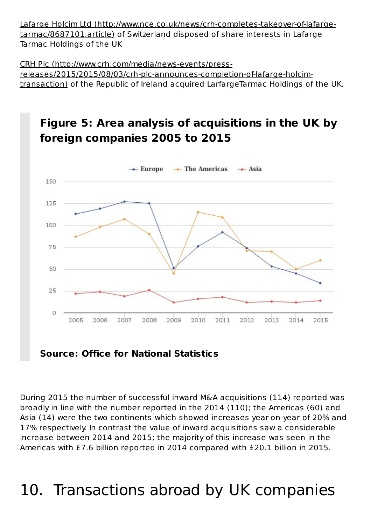Lafarge Holcim Ltd (http://www.nce.co.uk/news/crh-completes-takeover-of-lafargetarmac/8687101.article) of Switzerland disposed of share interests in Lafarge Tarmac Holdings of the UK

CRH Plc (http://www.crh.com/media/news-events/pressreleases/2015/2015/08/03/crh-plc-announces-completion-of-lafarge-holcimtransaction) of the Republic of Ireland acquired LarfargeTarmac Holdings of the UK.

#### **Figure 5: Area analysis of acquisitions in the UK by foreign companies 2005 to 2015**  $\rightarrow$  The Americas  $-$  Asia  $\leftarrow$  Europe 150 125 100 75 50 25  $\circ$ 2006 2007 2008 2009 2010 2011 2012 2013 2014 2005 2015

**Source: Office for National Statistics**

During 2015 the number of successful inward M&A acquisitions (114) reported was broadly in line with the number reported in the 2014 (110); the Americas (60) and Asia (14) were the two continents which showed increases year-on-year of 20% and 17% respectively. In contrast the value of inward acquisitions saw a considerable increase between 2014 and 2015; the majority of this increase was seen in the Americas with £7.6 billion reported in 2014 compared with £20.1 billion in 2015.

# 10. Transactions abroad by UK companies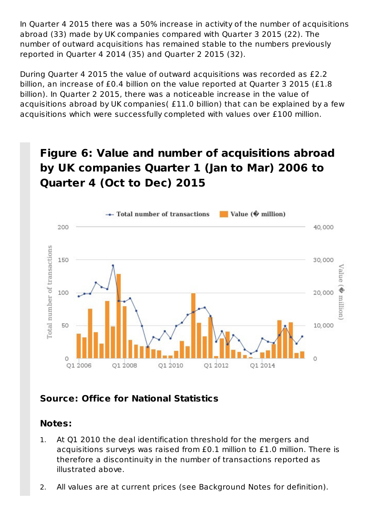In Ouarter 4 2015 there was a 50% increase in activity of the number of acquisitions abroad (33) made by UK companies compared with Quarter 3 2015 (22). The number of outward acquisitions has remained stable to the numbers previously reported in Quarter 4 2014 (35) and Quarter 2 2015 (32).

During Quarter 4 2015 the value of outward acquisitions was recorded as £2.2 billion, an increase of £0.4 billion on the value reported at Quarter 3 2015 (£1.8) billion). In Quarter 2 2015, there was a noticeable increase in the value of acquisitions abroad by UK companies( £11.0 billion) that can be explained by a few acquisitions which were successfully completed with values over £100 million.

### **Figure 6: Value and number of acquisitions abroad** by UK companies Quarter 1 (Jan to Mar) 2006 to **Quarter 4 (Oct to Dec) 2015**



### **Source: Office for National Statistics**

#### **Notes:**

- At Q1 2010 the deal identification threshold for the mergers and acquisitions surveys was raised from £0.1 million to £1.0 million. There is therefore a discontinuity in the number of transactions reported as illustrated above. 1.
- 2. All values are at current prices (see Background Notes for definition).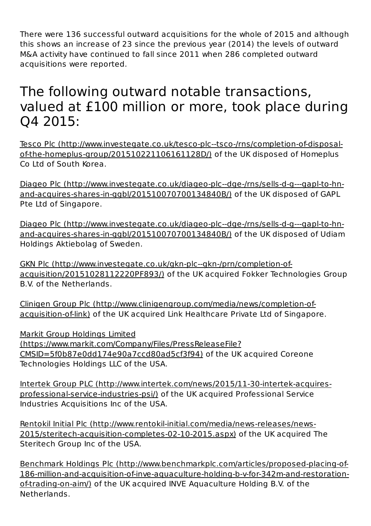There were 136 successful outward acquisitions for the whole of 2015 and although this shows an increase of 23 since the previous year (2014) the levels of outward M&A activity have continued to fall since 2011 when 286 completed outward acquisitions were reported.

## The following outward notable transactions, valued at £100 million or more, took place during Q4 2015:

Tesco Plc (http://www.investegate.co.uk/tesco-plc--tsco-/rns/completion-of-disposalof-the-homeplus-group/201510221106161128D/) of the UK disposed of Homeplus Co Ltd of South Korea.

Diageo Plc (http://www.investegate.co.uk/diageo-plc--dge-/rns/sells-d-g---gapl-to-hnand-acquires-shares-in-ggbl/201510070700134840B/) of the UK disposed of GAPL Pte Ltd of Singapore.

Diageo Plc (http://www.investegate.co.uk/diageo-plc--dge-/rns/sells-d-g---gapl-to-hnand-acquires-shares-in-ggbl/201510070700134840B/) of the UK disposed of Udiam Holdings Aktiebolag of Sweden.

GKN Plc (http://www.investegate.co.uk/gkn-plc--gkn-/prn/completion-ofacquisition/20151028112220PF893/) of the UK acquired Fokker Technologies Group B.V. of the Netherlands.

Clinigen Group Plc (http://www.clinigengroup.com/media/news/completion-ofacquisition-of-link) of the UK acquired Link Healthcare Private Ltd of Singapore.

Markit Group Holdings Limited (https://www.markit.com/Company/Files/PressReleaseFile? CMSID=5f0b87e0dd174e90a7ccd80ad5cf3f94) of the UK acquired Coreone Technologies Holdings LLC of the USA.

Intertek Group PLC (http://www.intertek.com/news/2015/11-30-intertek-acquiresprofessional-service-industries-psi/) of the UK acquired Professional Service Industries Acquisitions Inc of the USA.

Rentokil Initial Plc (http://www.rentokil-initial.com/media/news-releases/news-2015/steritech-acquisition-completes-02-10-2015.aspx) of the UK acquired The Steritech Group Inc of the USA.

Benchmark Holdings Plc (http://www.benchmarkplc.com/articles/proposed-placing-of-186-million-and-acquisition-of-inve-aquaculture-holding-b-v-for-342m-and-restorationof-trading-on-aim/) of the UK acquired INVE Aquaculture Holding B.V. of the Netherlands.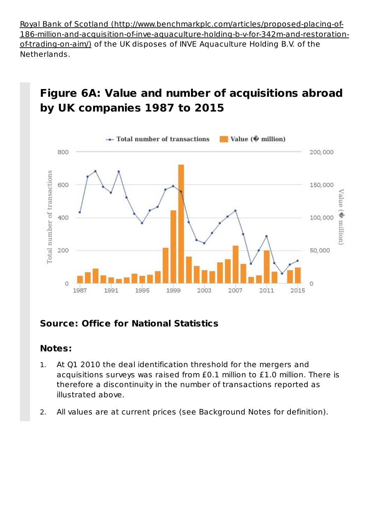Royal Bank of Scotland (http://www.benchmarkplc.com/articles/proposed-placing-of-186-million-and-acquisition-of-inve-aquaculture-holding-b-v-for-342m-and-restorationof-trading-on-aim/) of the UK disposes of INVE Aquaculture Holding B.V. of the Netherlands.

## **Figure 6A: Value and number of acquisitions abroad by UK companies 1987 to 2015**



### **Source: Office for National Statistics**

#### **Notes:**

- At Q1 2010 the deal identification threshold for the mergers and acquisitions surveys was raised from  $£0.1$  million to  $£1.0$  million. There is therefore a discontinuity in the number of transactions reported as illustrated above. 1.
- 2. All values are at current prices (see Background Notes for definition).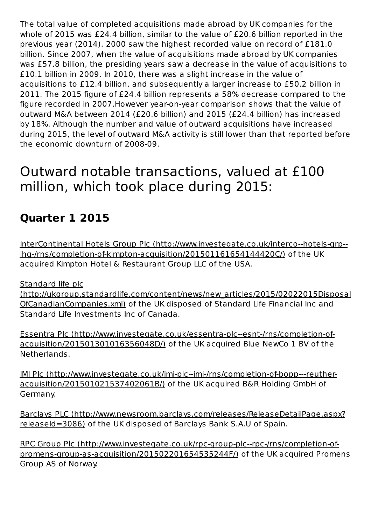The total value of completed acquisitions made abroad by UK companies for the whole of 2015 was  $£24.4$  billion, similar to the value of  $£20.6$  billion reported in the previous year (2014). 2000 saw the highest recorded value on record of £181.0 billion. Since 2007, when the value of acquisitions made abroad by UK companies was £57.8 billion, the presiding years saw a decrease in the value of acquisitions to £10.1 billion in 2009. In 2010, there was a slight increase in the value of acquisitions to £12.4 billion, and subsequently a larger increase to £50.2 billion in 2011. The 2015 figure of £24.4 billion represents a 58% decrease compared to the figure recorded in 2007. However year-on-year comparison shows that the value of outward M&A between 2014 (£20.6 billion) and 2015 (£24.4 billion) has increased by 18%. Although the number and value of outward acquisitions have increased during 2015, the level of outward M&A activity is still lower than that reported before the economic downturn of 2008-09.

## Outward notable transactions, valued at £100 million, which took place during 2015:

## **Quarter 1 2015**

InterContinental Hotels Group Plc (http://www.investegate.co.uk/interco--hotels-grp-ihg-/rns/completion-of-kimpton-acquisition/201501161654144420C/) of the UK acquired Kimpton Hotel & Restaurant Group LLC of the USA.

Standard life plc

(http://ukgroup.standardlife.com/content/news/new\_articles/2015/02022015Disposal OfCanadianCompanies.xml) of the UK disposed of Standard Life Financial Inc and Standard Life Investments Inc of Canada.

Essentra Plc (http://www.investegate.co.uk/essentra-plc--esnt-/rns/completion-ofacquisition/201501301016356048D/) of the UK acquired Blue NewCo 1 BV of the Netherlands.

IMI Plc (http://www.investegate.co.uk/imi-plc--imi-/rns/completion-of-bopp---reutheracquisition/201501021537402061B/) of the UK acquired B&R Holding GmbH of Germany.

Barclays PLC (http://www.newsroom.barclays.com/releases/ReleaseDetailPage.aspx? releaseId=3086) of the UK disposed of Barclays Bank S.A.U of Spain.

RPC Group Plc (http://www.investegate.co.uk/rpc-group-plc--rpc-/rns/completion-ofpromens-group-as-acquisition/201502201654535244F/) of the UK acquired Promens Group AS of Norway.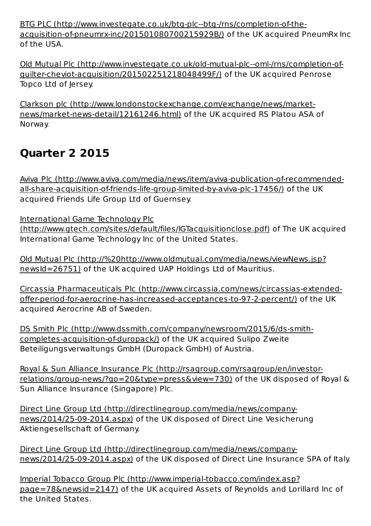BTG PLC (http://www.investegate.co.uk/btg-plc--btg-/rns/completion-of-theacquisition-of-pneumrx-inc/201501080700215929B/) of the UK acquired PneumRx Inc of the USA.

Old Mutual Plc (http://www.investegate.co.uk/old-mutual-plc--oml-/rns/completion-ofguilter-cheviot-acquisition/201502251218048499F/) of the UK acquired Penrose Topco Ltd of Jersey.

Clarkson plc (http://www.londonstockexchange.com/exchange/news/marketnews/market-news-detail/12161246.html) of the UK acquired RS Platou ASA of Norway.

## **Quarter 2 2015**

Aviva Plc (http://www.aviva.com/media/news/item/aviva-publication-of-recommendedall-share-acquisition-of-friends-life-group-limited-by-aviva-plc-17456/) of the UK acquired Friends Life Group Ltd of Guernsey.

International Game Technology Plc

(http://www.gtech.com/sites/default/files/IGTacquisitionclose.pdf) of The UK acquired International Game Technology Inc of the United States.

Old Mutual Plc (http://%20http://www.oldmutual.com/media/news/viewNews.jsp? newsId=26751) of the UK acquired UAP Holdings Ltd of Mauritius.

Circassia Pharmaceuticals Plc (http://www.circassia.com/news/circassias-extendedoffer-period-for-aerocrine-has-increased-acceptances-to-97-2-percent/) of the UK acquired Aerocrine AB of Sweden.

DS Smith Plc (http://www.dssmith.com/company/newsroom/2015/6/ds-smithcompletes-acquisition-of-duropack/) of the UK acquired Sulipo Zweite Beteiligungsverwaltungs GmbH (Duropack GmbH) of Austria.

Royal & Sun Alliance Insurance Plc (http://rsagroup.com/rsagroup/en/investorrelations/group-news/?go=20&type=press&view=730) of the UK disposed of Royal & Sun Alliance Insurance (Singapore) Plc.

Direct Line Group Ltd (http://directlinegroup.com/media/news/companynews/2014/25-09-2014.aspx) of the UK disposed of Direct Line Vesicherung Aktiengesellschaft of Germany.

Direct Line Group Ltd (http://directlinegroup.com/media/news/companynews/2014/25-09-2014.aspx) of the UK disposed of Direct Line Insurance SPA of Italy.

Imperial Tobacco Group Plc (http://www.imperial-tobacco.com/index.asp? page=78&newsid=2147) of the UK acquired Assets of Reynolds and Lorillard Inc of the United States.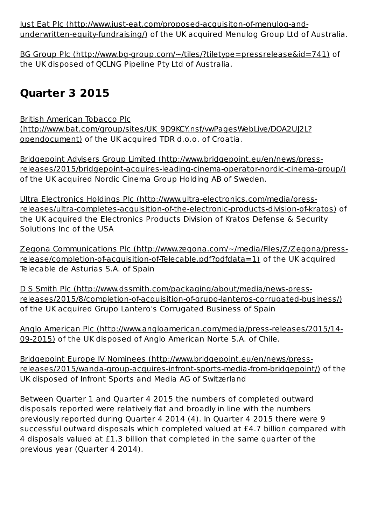lust Eat Plc (http://www.just-eat.com/proposed-acquisiton-of-menulog-andunderwritten-equity-fundraising/) of the UK acquired Menulog Group Ltd of Australia.

BG Group Plc (http://www.bg-group.com/~/tiles/?tiletype=pressrelease&id=741) of the UK disposed of QCLNG Pipeline Pty Ltd of Australia.

### **Quarter 3 2015**

British American Tobacco Plc (http://www.bat.com/group/sites/UK\_9D9KCY.nsf/vwPagesWebLive/DOA2UJ2L? opendocument) of the UK acquired TDR d.o.o. of Croatia.

Bridgepoint Advisers Group Limited (http://www.bridgepoint.eu/en/news/pressreleases/2015/bridgepoint-acquires-leading-cinema-operator-nordic-cinema-group/) of the UK acquired Nordic Cinema Group Holding AB of Sweden.

Ultra Electronics Holdings Plc (http://www.ultra-electronics.com/media/pressreleases/ultra-completes-acquisition-of-the-electronic-products-division-of-kratos) of the UK acquired the Electronics Products Division of Kratos Defense & Security Solutions Inc of the USA

Zegona Communications Plc (http://www.zegona.com/~/media/Files/Z/Zegona/pressrelease/completion-of-acquisition-of-Telecable.pdf?pdfdata=1) of the UK acquired Telecable de Asturias S.A. of Spain

D S Smith Plc (http://www.dssmith.com/packaging/about/media/news-pressreleases/2015/8/completion-of-acquisition-of-grupo-lanteros-corrugated-business/) of the UK acquired Grupo Lantero's Corrugated Business of Spain

Anglo American Plc (http://www.angloamerican.com/media/press-releases/2015/14-09-2015) of the UK disposed of Anglo American Norte S.A. of Chile.

Bridgepoint Europe IV Nominees (http://www.bridgepoint.eu/en/news/pressreleases/2015/wanda-group-acquires-infront-sports-media-from-bridgepoint/) of the UK disposed of Infront Sports and Media AG of Switzerland

Between Quarter 1 and Quarter 4 2015 the numbers of completed outward disposals reported were relatively flat and broadly in line with the numbers previously reported during Quarter 4 2014 (4). In Quarter 4 2015 there were 9 successful outward disposals which completed valued at £4.7 billion compared with 4 disposals valued at £1.3 billion that completed in the same quarter of the previous year (Quarter 4 2014).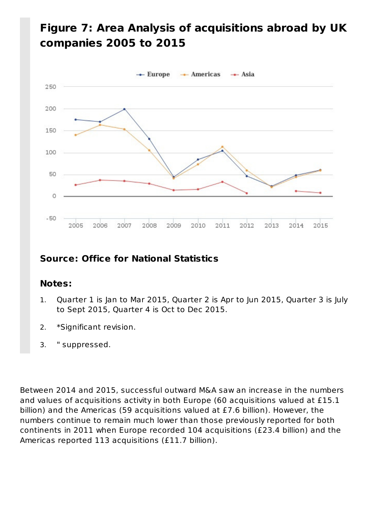### Figure 7: Area Analysis of acquisitions abroad by UK **companies 2005 to 2015**



### **Source: Office for National Statistics**

### **Notes:**

- Quarter 1 is Jan to Mar 2015, Quarter 2 is Apr to Jun 2015, Quarter 3 is July to Sept 2015, Quarter 4 is Oct to Dec 2015. 1.
- 2. \*Significant revision.
- 3. " suppressed.

Between 2014 and 2015, successful outward M&A saw an increase in the numbers and values of acquisitions activity in both Europe (60 acquisitions valued at £15.1 billion) and the Americas (59 acquisitions valued at £7.6 billion). However, the numbers continue to remain much lower than those previously reported for both continents in 2011 when Europe recorded 104 acquisitions (£23.4 billion) and the Americas reported 113 acquisitions (£11.7 billion).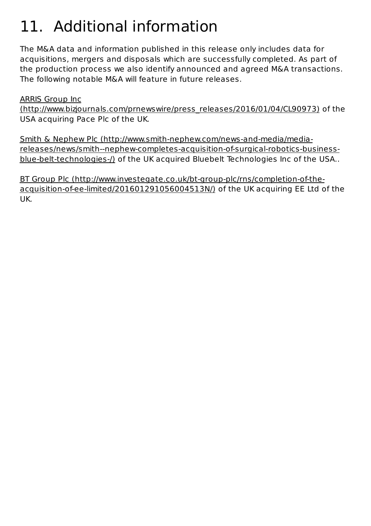# 11. Additional information

The M&A data and information published in this release only includes data for acquisitions, mergers and disposals which are successfully completed. As part of the production process we also identify announced and agreed M&A transactions. The following notable M&A will feature in future releases.

**ARRIS Group Inc** 

(http://www.bizjournals.com/prnewswire/press\_releases/2016/01/04/CL90973) of the USA acquiring Pace Plc of the UK.

Smith & Nephew Plc (http://www.smith-nephew.com/news-and-media/mediareleases/news/smith--nephew-completes-acquisition-of-surgical-robotics-businessblue-belt-technologies-/) of the UK acquired Bluebelt Technologies Inc of the USA..

BT Group Plc (http://www.investegate.co.uk/bt-group-plc/rns/completion-of-theacquisition-of-ee-limited/201601291056004513N/) of the UK acquiring EE Ltd of the UK.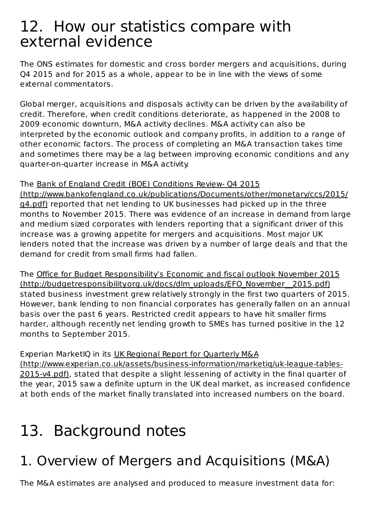## 12. How our statistics compare with external evidence

The ONS estimates for domestic and cross border mergers and acquisitions, during Q4 2015 and for 2015 as a whole, appear to be in line with the views of some external commentators.

Global merger, acquisitions and disposals activity can be driven by the availability of credit. Therefore, when credit conditions deteriorate, as happened in the 2008 to 2009 economic downturn, M&A activity declines. M&A activity can also be interpreted by the economic outlook and company profits, in addition to a range of other economic factors. The process of completing an M&A transaction takes time and sometimes there may be a lag between improving economic conditions and any quarter-on-quarter increase in M&A activity.

#### The Bank of England Credit (BOE) Conditions Review- 04 2015 (http://www.bankofengland.co.uk/publications/Documents/other/monetary/ccs/2015/

g4.pdf) reported that net lending to UK businesses had picked up in the three months to November 2015. There was evidence of an increase in demand from large and medium sized corporates with lenders reporting that a significant driver of this increase was a growing appetite for mergers and acquisitions. Most major UK lenders noted that the increase was driven by a number of large deals and that the demand for credit from small firms had fallen.

The Office for Budget Responsibility's Economic and fiscal outlook November 2015 (http://budgetresponsibility.org.uk/docs/dlm\_uploads/EFO\_November\_2015.pdf) stated business investment grew relatively strongly in the first two quarters of 2015. However, bank lending to non financial corporates has generally fallen on an annual basis over the past 6 years. Restricted credit appears to have hit smaller firms harder, although recently net lending growth to SMEs has turned positive in the 12 months to September 2015.

#### Experian MarketIQ in its UK Regional Report for Quarterly M&A (http://www.experian.co.uk/assets/business-information/marketiq/uk-league-tables-2015-v4.pdf), stated that despite a slight lessening of activity in the final quarter of the year, 2015 saw a definite upturn in the UK deal market, as increased confidence at both ends of the market finally translated into increased numbers on the board.

# 13. Background notes

# 1. Overview of Mergers and Acquisitions (M&A)

The M&A estimates are analysed and produced to measure investment data for: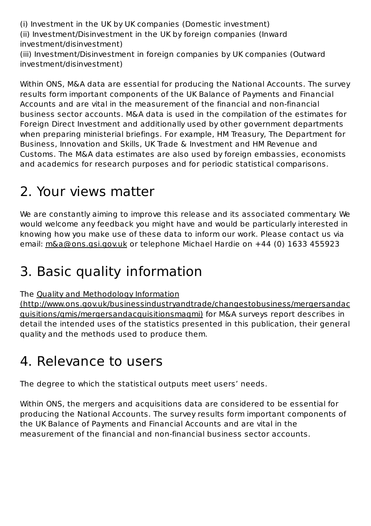(i) Investment in the UK by UK companies (Domestic investment) (ii) Investment/Disinvestment in the UK by foreign companies (Inward investment/disinvestment) (iii) Investment/Disinvestment in foreign companies by UK companies (Outward investment/disinvestment)

Within ONS, M&A data are essential for producing the National Accounts. The survey results form important components of the UK Balance of Payments and Financial Accounts and are vital in the measurement of the financial and non-financial business sector accounts. M&A data is used in the compilation of the estimates for Foreign Direct Investment and additionally used by other government departments when preparing ministerial briefings. For example, HM Treasury, The Department for Business, Innovation and Skills, UK Trade & Investment and HM Revenue and Customs. The M&A data estimates are also used by foreign embassies, economists and academics for research purposes and for periodic statistical comparisons.

## 2. Your views matter

We are constantly aiming to improve this release and its associated commentary. We would welcome any feedback you might have and would be particularly interested in knowing how you make use of these data to inform our work. Please contact us via email: m&a@ons.gsi.gov.uk or telephone Michael Hardie on +44 (0) 1633 455923

# 3. Basic quality information

The Quality and Methodology Information

(http://www.ons.gov.uk/businessindustryandtrade/changestobusiness/mergersandac guisitions/gmis/mergersandacquisitionsmagmi) for M&A surveys report describes in detail the intended uses of the statistics presented in this publication, their general quality and the methods used to produce them.

# 4. Relevance to users

The degree to which the statistical outputs meet users' needs.

Within ONS, the mergers and acquisitions data are considered to be essential for producing the National Accounts. The survey results form important components of the UK Balance of Payments and Financial Accounts and are vital in the measurement of the financial and non-financial business sector accounts.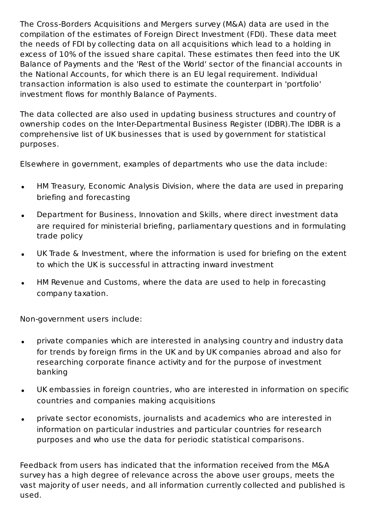The Cross-Borders Acquisitions and Mergers survey (M&A) data are used in the compilation of the estimates of Foreign Direct Investment (FDI). These data meet the needs of FDI by collecting data on all acquisitions which lead to a holding in excess of 10% of the issued share capital. These estimates then feed into the UK Balance of Payments and the 'Rest of the World' sector of the financial accounts in the National Accounts, for which there is an EU legal requirement. Individual transaction information is also used to estimate the counterpart in 'portfolio' investment flows for monthly Balance of Payments.

The data collected are also used in updating business structures and country of ownership codes on the Inter-Departmental Business Register (IDBR). The IDBR is a comprehensive list of UK businesses that is used by government for statistical purposes.

Elsewhere in government, examples of departments who use the data include:

- HM Treasury, Economic Analysis Division, where the data are used in preparing  $\bullet$ briefing and forecasting
- Department for Business, Innovation and Skills, where direct investment data  $\bullet$ are required for ministerial briefing, parliamentary questions and in formulating trade policy
- UK Trade & Investment, where the information is used for briefing on the extent  $\bullet$ to which the UK is successful in attracting inward investment
- HM Revenue and Customs, where the data are used to help in forecasting  $\bullet$ company taxation.

Non-government users include:

- private companies which are interested in analysing country and industry data  $\bullet$ for trends by foreign firms in the UK and by UK companies abroad and also for researching corporate finance activity and for the purpose of investment banking
- UK embassies in foreign countries, who are interested in information on specific  $\bullet$ countries and companies making acquisitions
- private sector economists, journalists and academics who are interested in  $\bullet$ information on particular industries and particular countries for research purposes and who use the data for periodic statistical comparisons.

Feedback from users has indicated that the information received from the M&A survey has a high degree of relevance across the above user groups, meets the vast majority of user needs, and all information currently collected and published is used.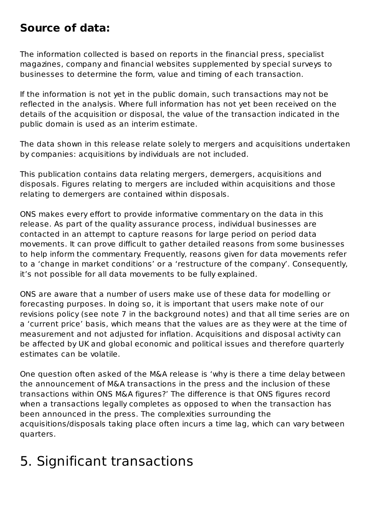### **Source of data:**

The information collected is based on reports in the financial press, specialist magazines, company and financial websites supplemented by special surveys to businesses to determine the form, value and timing of each transaction.

If the information is not yet in the public domain, such transactions may not be reflected in the analysis. Where full information has not yet been received on the details of the acquisition or disposal, the value of the transaction indicated in the public domain is used as an interim estimate.

The data shown in this release relate solely to mergers and acquisitions undertaken by companies: acquisitions by individuals are not included.

This publication contains data relating mergers, demergers, acquisitions and disposals. Figures relating to mergers are included within acquisitions and those relating to demergers are contained within disposals.

ONS makes every effort to provide informative commentary on the data in this release. As part of the quality assurance process, individual businesses are contacted in an attempt to capture reasons for large period on period data movements. It can prove difficult to gather detailed reasons from some businesses to help inform the commentary. Frequently, reasons given for data movements refer to a 'change in market conditions' or a 'restructure of the company'. Consequently, it's not possible for all data movements to be fully explained.

ONS are aware that a number of users make use of these data for modelling or forecasting purposes. In doing so, it is important that users make note of our revisions policy (see note 7 in the background notes) and that all time series are on a 'current price' basis, which means that the values are as they were at the time of measurement and not adjusted for inflation. Acquisitions and disposal activity can be affected by UK and global economic and political issues and therefore quarterly estimates can be volatile.

One question often asked of the M&A release is 'why is there a time delay between the announcement of M&A transactions in the press and the inclusion of these transactions within ONS M&A figures?' The difference is that ONS figures record when a transactions legally completes as opposed to when the transaction has been announced in the press. The complexities surrounding the acquisitions/disposals taking place often incurs a time lag, which can vary between quarters.

# 5. Significant transactions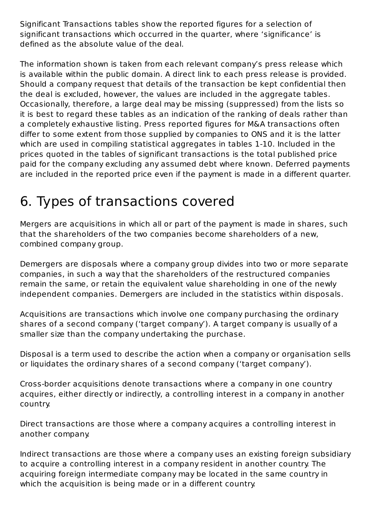Significant Transactions tables show the reported figures for a selection of significant transactions which occurred in the quarter, where 'significance' is defined as the absolute value of the deal.

The information shown is taken from each relevant company's press release which is available within the public domain. A direct link to each press release is provided. Should a company request that details of the transaction be kept confidential then the deal is excluded, however, the values are included in the aggregate tables. Occasionally, therefore, a large deal may be missing (suppressed) from the lists so it is best to regard these tables as an indication of the ranking of deals rather than a completely exhaustive listing. Press reported figures for M&A transactions often differ to some extent from those supplied by companies to ONS and it is the latter which are used in compiling statistical aggregates in tables 1-10. Included in the prices quoted in the tables of significant transactions is the total published price paid for the company excluding any assumed debt where known. Deferred payments are included in the reported price even if the payment is made in a different quarter.

# 6. Types of transactions covered

Mergers are acquisitions in which all or part of the payment is made in shares, such that the shareholders of the two companies become shareholders of a new, combined company group.

Demergers are disposals where a company group divides into two or more separate companies, in such a way that the shareholders of the restructured companies remain the same, or retain the equivalent value shareholding in one of the newly independent companies. Demergers are included in the statistics within disposals.

Acquisitions are transactions which involve one company purchasing the ordinary shares of a second company ('target company'). A target company is usually of a smaller size than the company undertaking the purchase.

Disposal is a term used to describe the action when a company or organisation sells or liquidates the ordinary shares of a second company ('target company').

Cross-border acquisitions denote transactions where a company in one country acquires, either directly or indirectly, a controlling interest in a company in another country.

Direct transactions are those where a company acquires a controlling interest in another company.

Indirect transactions are those where a company uses an existing foreign subsidiary to acquire a controlling interest in a company resident in another country. The acquiring foreign intermediate company may be located in the same country in which the acquisition is being made or in a different country.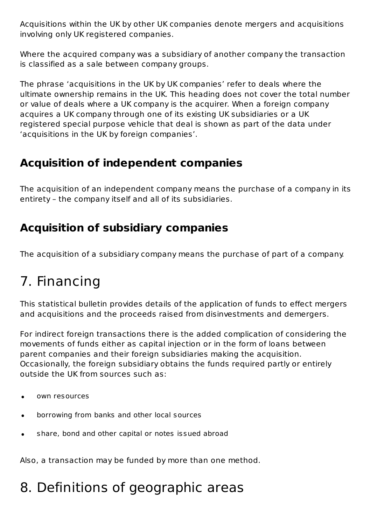Acquisitions within the UK by other UK companies denote mergers and acquisitions involving only UK registered companies.

Where the acquired company was a subsidiary of another company the transaction is classified as a sale between company groups.

The phrase 'acquisitions in the UK by UK companies' refer to deals where the ultimate ownership remains in the UK. This heading does not cover the total number or value of deals where a UK company is the acquirer. When a foreign company acquires a UK company through one of its existing UK subsidiaries or a UK registered special purpose vehicle that deal is shown as part of the data under 'acquisitions in the UK by foreign companies'.

### **Acquisition of independent companies**

The acquisition of an independent company means the purchase of a company in its entirety – the company itself and all of its subsidiaries.

### **Acquisition of subsidiary companies**

The acquisition of a subsidiary company means the purchase of part of a company.

# 7. Financing

This statistical bulletin provides details of the application of funds to effect mergers and acquisitions and the proceeds raised from disinvestments and demergers.

For indirect foreign transactions there is the added complication of considering the movements of funds either as capital injection or in the form of loans between parent companies and their foreign subsidiaries making the acquisition. Occasionally, the foreign subsidiary obtains the funds required partly or entirely outside the UK from sources such as:

- own resources
- borrowing from banks and other local sources
- share, bond and other capital or notes issued abroad

Also, a transaction may be funded by more than one method.

## 8. Definitions of geographic areas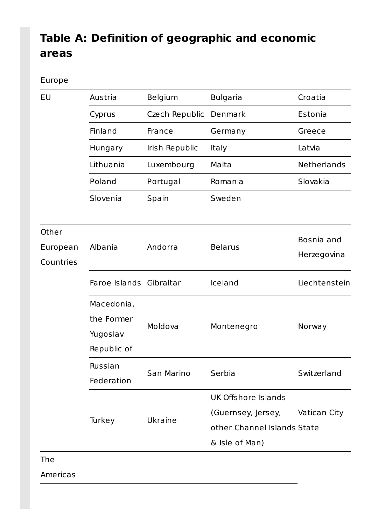## Table A: Definition of geographic and economic **areas**

#### Europe

| Austria<br>Cyprus<br>Finland<br>Hungary             | Belgium<br>Czech Republic<br>France | <b>Bulgaria</b><br>Denmark<br>Germany                              | Croatia<br>Estonia          |
|-----------------------------------------------------|-------------------------------------|--------------------------------------------------------------------|-----------------------------|
|                                                     |                                     |                                                                    |                             |
|                                                     |                                     |                                                                    |                             |
|                                                     |                                     |                                                                    | Greece                      |
|                                                     | Irish Republic                      | <b>Italy</b>                                                       | Latvia                      |
| Lithuania                                           | Luxembourg                          | Malta                                                              | Netherlands                 |
| Poland                                              | Portugal                            | Romania                                                            | Slovakia                    |
| Slovenia                                            | Spain                               | Sweden                                                             |                             |
|                                                     |                                     |                                                                    |                             |
| Albania                                             | Andorra                             | <b>Belarus</b>                                                     | Bosnia and<br>Herzegovina   |
|                                                     |                                     | Iceland                                                            | Liechtenstein               |
| Macedonia,<br>the Former<br>Yugoslav<br>Republic of | Moldova                             | Montenegro                                                         | Norway                      |
| Russian<br>Federation                               | San Marino                          | Serbia                                                             | Switzerland                 |
| Ukraine<br>Turkey                                   |                                     | <b>UK Offshore Islands</b><br>(Guernsey, Jersey,<br>& Isle of Man) | Vatican City                |
|                                                     |                                     | Faroe Islands Gibraltar                                            | other Channel Islands State |

The 

Americas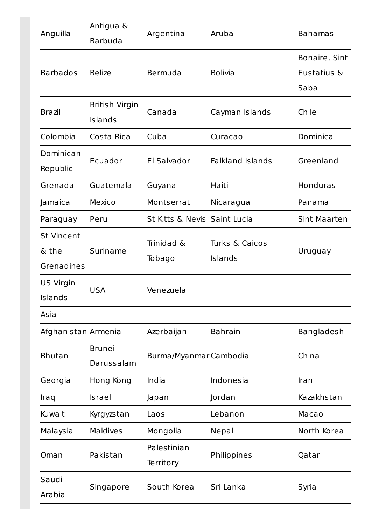| Anguilla                                 | Antigua &<br><b>Barbuda</b>      | Argentina                    | Aruba                     | <b>Bahamas</b>                       |  |
|------------------------------------------|----------------------------------|------------------------------|---------------------------|--------------------------------------|--|
| <b>Barbados</b>                          | <b>Belize</b>                    | Bermuda                      | <b>Bolivia</b>            | Bonaire, Sint<br>Eustatius &<br>Saba |  |
| <b>Brazil</b>                            | <b>British Virgin</b><br>Islands | Canada                       | Cayman Islands            | Chile                                |  |
| Colombia                                 | Costa Rica                       | Cuba                         | Curacao                   | Dominica                             |  |
| Dominican<br>Republic                    | Ecuador                          | El Salvador                  | <b>Falkland Islands</b>   | Greenland                            |  |
| Grenada                                  | Guatemala                        | Guyana                       | Haiti                     | <b>Honduras</b>                      |  |
| Jamaica                                  | Mexico                           | Montserrat                   | Nicaragua                 | Panama                               |  |
| Paraguay                                 | Peru                             | St Kitts & Nevis Saint Lucia |                           | <b>Sint Maarten</b>                  |  |
| <b>St Vincent</b><br>& the<br>Grenadines | Suriname                         | Trinidad &<br>Tobago         | Turks & Caicos<br>Islands | Uruguay                              |  |
| <b>US Virgin</b><br>Islands              | <b>USA</b>                       | Venezuela                    |                           |                                      |  |
| Asia                                     |                                  |                              |                           |                                      |  |
| Afghanistan Armenia                      |                                  | Azerbaijan                   | <b>Bahrain</b>            | Bangladesh                           |  |
| <b>Bhutan</b>                            | <b>Brunei</b><br>Darussalam      | Burma/Myanmar Cambodia       |                           | China                                |  |
| Georgia                                  | Hong Kong                        | India                        | Indonesia                 | Iran                                 |  |
| <b>Iraq</b>                              | Israel                           | Japan                        | Jordan                    | Kazakhstan                           |  |
| Kuwait                                   | Kyrgyzstan                       | Laos                         | Lebanon                   | Macao                                |  |
| Malaysia                                 | Maldives                         | Mongolia                     | Nepal                     | North Korea                          |  |
| Oman                                     | Pakistan                         | Palestinian<br>Territory     | Philippines               | Qatar                                |  |
| Saudi<br>Arabia                          | Singapore                        | South Korea                  | Sri Lanka                 | Syria                                |  |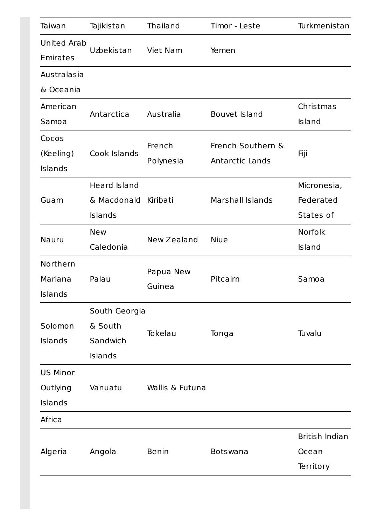| Taiwan             | Tajikistan          | Thailand        | Timor - Leste     | Turkmenistan   |  |
|--------------------|---------------------|-----------------|-------------------|----------------|--|
| <b>United Arab</b> |                     |                 |                   |                |  |
| Emirates           | Uzbekistan          | Viet Nam        | Yemen             |                |  |
| Australasia        |                     |                 |                   |                |  |
| & Oceania          |                     |                 |                   |                |  |
| American           | Antarctica          | Australia       | Bouvet Island     | Christmas      |  |
| Samoa              |                     |                 |                   | Island         |  |
| Cocos              |                     | French          | French Southern & |                |  |
| (Keeling)          | Cook Islands        | Polynesia       | Antarctic Lands   | Fiji           |  |
| Islands            |                     |                 |                   |                |  |
|                    | <b>Heard Island</b> |                 |                   | Micronesia,    |  |
| Guam               | & Macdonald         | Kiribati        | Marshall Islands  | Federated      |  |
|                    | Islands             |                 |                   | States of      |  |
|                    | <b>New</b>          |                 | <b>Niue</b>       | Norfolk        |  |
| Nauru              | Caledonia           | New Zealand     |                   | Island         |  |
| Northern           |                     | Papua New       |                   |                |  |
| Mariana            | Palau               | Guinea          | Pitcairn          | Samoa          |  |
| Islands            |                     |                 |                   |                |  |
|                    | South Georgia       |                 |                   |                |  |
| Solomon            | & South             | Tokelau         | Tonga             | Tuvalu         |  |
| <b>Islands</b>     | Sandwich            |                 |                   |                |  |
|                    | Islands             |                 |                   |                |  |
| <b>US Minor</b>    |                     |                 |                   |                |  |
| Outlying           | Vanuatu             | Wallis & Futuna |                   |                |  |
| Islands            |                     |                 |                   |                |  |
| Africa             |                     |                 |                   |                |  |
|                    |                     |                 |                   | British Indian |  |
| Algeria            | Angola              | <b>Benin</b>    | Botswana          | Ocean          |  |
|                    |                     |                 |                   | Territory      |  |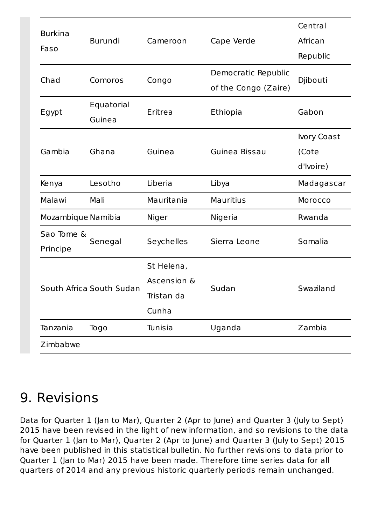| <b>Burkina</b>     |                          |             |                      | Central     |  |
|--------------------|--------------------------|-------------|----------------------|-------------|--|
|                    | <b>Burundi</b>           | Cameroon    | Cape Verde           | African     |  |
| Faso               |                          |             |                      | Republic    |  |
| Chad               |                          |             | Democratic Republic  |             |  |
|                    | Comoros                  | Congo       | of the Congo (Zaire) | Djibouti    |  |
|                    | Equatorial               |             |                      |             |  |
| Egypt              | Guinea                   | Eritrea     | Ethiopia             | Gabon       |  |
|                    |                          |             |                      | Ivory Coast |  |
| Gambia             | Ghana                    | Guinea      | Guinea Bissau        | (Cote       |  |
|                    |                          |             |                      | d'Ivoire)   |  |
| Kenya              | Lesotho                  | Liberia     | Libya                | Madagascar  |  |
| Malawi             | Mali                     | Mauritania  | <b>Mauritius</b>     | Morocco     |  |
| Mozambique Namibia |                          | Niger       | Nigeria              | Rwanda      |  |
| Sao Tome &         | Senegal                  | Seychelles  | Sierra Leone         | Somalia     |  |
| Principe           |                          |             |                      |             |  |
|                    |                          | St Helena,  |                      |             |  |
|                    | South Africa South Sudan | Ascension & | Sudan                | Swaziland   |  |
|                    |                          | Tristan da  |                      |             |  |
|                    |                          | Cunha       |                      |             |  |
| Tanzania           | Togo                     | Tunisia     | Uganda               | Zambia      |  |
| Zimbabwe           |                          |             |                      |             |  |

## 9. Revisions

Data for Quarter 1 (Jan to Mar), Quarter 2 (Apr to June) and Quarter 3 (July to Sept) 2015 have been revised in the light of new information, and so revisions to the data for Quarter 1 (Jan to Mar), Quarter 2 (Apr to June) and Quarter 3 (July to Sept) 2015 have been published in this statistical bulletin. No further revisions to data prior to Quarter 1 (Jan to Mar) 2015 have been made. Therefore time series data for all quarters of 2014 and any previous historic quarterly periods remain unchanged.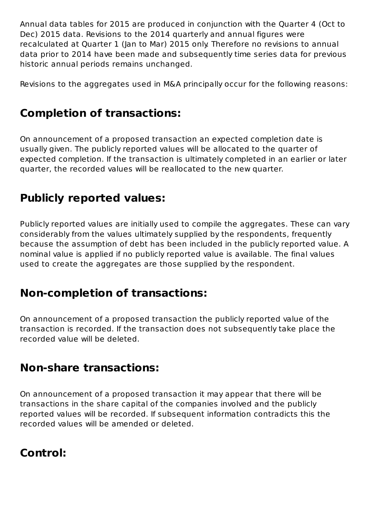Annual data tables for 2015 are produced in conjunction with the Ouarter 4 (Oct to Dec) 2015 data. Revisions to the 2014 quarterly and annual figures were recalculated at Quarter 1 (Jan to Mar) 2015 only. Therefore no revisions to annual data prior to 2014 have been made and subsequently time series data for previous historic annual periods remains unchanged.

Revisions to the aggregates used in M&A principally occur for the following reasons:

### **Completion of transactions:**

On announcement of a proposed transaction an expected completion date is usually given. The publicly reported values will be allocated to the quarter of expected completion. If the transaction is ultimately completed in an earlier or later quarter, the recorded values will be reallocated to the new quarter.

### **Publicly reported values:**

Publicly reported values are initially used to compile the aggregates. These can vary considerably from the values ultimately supplied by the respondents, frequently because the assumption of debt has been included in the publicly reported value. A nominal value is applied if no publicly reported value is available. The final values used to create the aggregates are those supplied by the respondent.

### **Non-completion of transactions:**

On announcement of a proposed transaction the publicly reported value of the transaction is recorded. If the transaction does not subsequently take place the recorded value will be deleted.

### **Non-share transactions:**

On announcement of a proposed transaction it may appear that there will be transactions in the share capital of the companies involved and the publicly reported values will be recorded. If subsequent information contradicts this the recorded values will be amended or deleted.

### **Control:**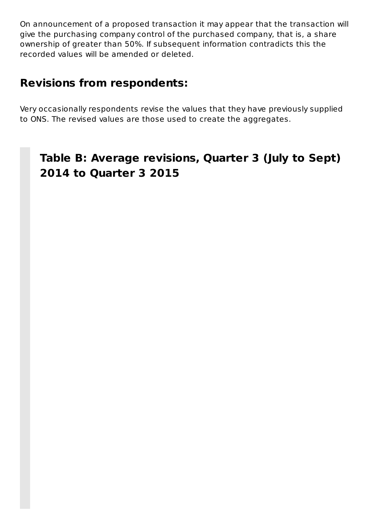On announcement of a proposed transaction it may appear that the transaction will give the purchasing company control of the purchased company, that is, a share ownership of greater than 50%. If subsequent information contradicts this the recorded values will be amended or deleted.

### **Revisions from respondents:**

Very occasionally respondents revise the values that they have previously supplied to ONS. The revised values are those used to create the aggregates.

### Table B: Average revisions, Quarter 3 (July to Sept) **2014 to Quarter 3 2015**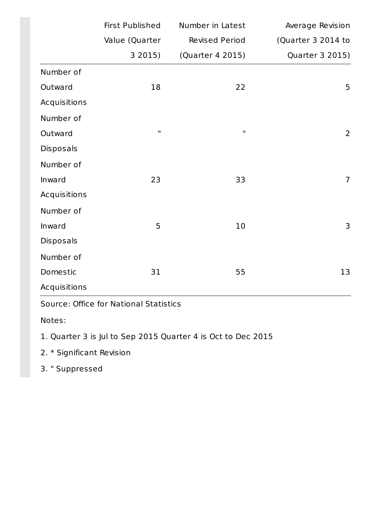|              | <b>First Published</b> | Number in Latest | Average Revision   |
|--------------|------------------------|------------------|--------------------|
|              | Value (Quarter         | Revised Period   | (Quarter 3 2014 to |
|              | 3 2015)                | (Quarter 4 2015) | Quarter 3 2015)    |
| Number of    |                        |                  |                    |
| Outward      | 18                     | 22               | 5                  |
| Acquisitions |                        |                  |                    |
| Number of    |                        |                  |                    |
| Outward      | $\mathbf H$            | $\mathbf H$      | $\overline{2}$     |
| Disposals    |                        |                  |                    |
| Number of    |                        |                  |                    |
| Inward       | 23                     | 33               | $\overline{7}$     |
| Acquisitions |                        |                  |                    |
| Number of    |                        |                  |                    |
| Inward       | 5                      | 10               | 3                  |
| Disposals    |                        |                  |                    |
| Number of    |                        |                  |                    |
| Domestic     | 31                     | 55               | 13                 |
| Acquisitions |                        |                  |                    |

Source: Office for National Statistics

Notes:

1. Quarter 3 is Jul to Sep 2015 Quarter 4 is Oct to Dec 2015

2. \* Significant Revision

3. " Suppressed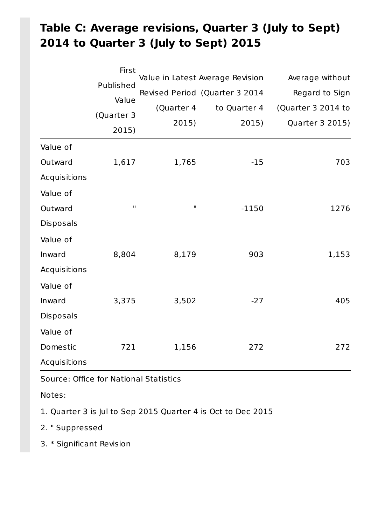## Table C: Average revisions, Quarter 3 (July to Sept) **2014 to Quarter 3 (July to Sept) 2015**

|              | First        |             |                                  |                    |
|--------------|--------------|-------------|----------------------------------|--------------------|
|              | Published    |             | Value in Latest Average Revision | Average without    |
|              | Value        |             | Revised Period (Quarter 3 2014   | Regard to Sign     |
|              |              | (Quarter 4  | to Quarter 4                     | (Quarter 3 2014 to |
|              | (Quarter 3   | 2015)       | 2015)                            | Quarter 3 2015)    |
|              | 2015)        |             |                                  |                    |
| Value of     |              |             |                                  |                    |
| Outward      | 1,617        | 1,765       | $-15$                            | 703                |
| Acquisitions |              |             |                                  |                    |
| Value of     |              |             |                                  |                    |
| Outward      | $\mathbf{H}$ | $\mathbf H$ | $-1150$                          | 1276               |
| Disposals    |              |             |                                  |                    |
| Value of     |              |             |                                  |                    |
| Inward       | 8,804        | 8,179       | 903                              | 1,153              |
| Acquisitions |              |             |                                  |                    |
| Value of     |              |             |                                  |                    |
| Inward       | 3,375        | 3,502       | $-27$                            | 405                |
| Disposals    |              |             |                                  |                    |
| Value of     |              |             |                                  |                    |
| Domestic     | 721          | 1,156       | 272                              | 272                |
| Acquisitions |              |             |                                  |                    |

Source: Office for National Statistics

Notes: 

1. Quarter 3 is Jul to Sep 2015 Quarter 4 is Oct to Dec 2015

2. "Suppressed

3. \* Significant Revision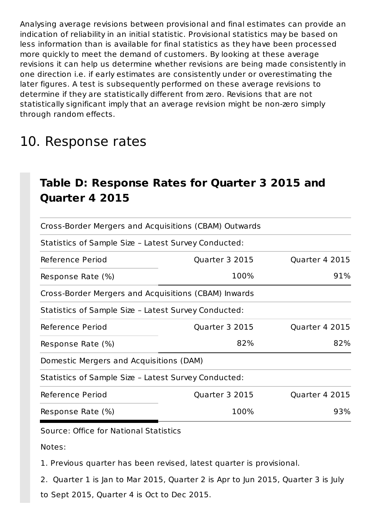Analysing average revisions between provisional and final estimates can provide an indication of reliability in an initial statistic. Provisional statistics may be based on less information than is available for final statistics as they have been processed more quickly to meet the demand of customers. By looking at these average revisions it can help us determine whether revisions are being made consistently in one direction i.e. if early estimates are consistently under or overestimating the later figures. A test is subsequently performed on these average revisions to determine if they are statistically different from zero. Revisions that are not statistically significant imply that an average revision might be non-zero simply through random effects.

## 10. Response rates

### Table D: Response Rates for Quarter 3 2015 and **Quarter 4 2015**

| Cross-Border Mergers and Acquisitions (CBAM) Outwards |                |                |
|-------------------------------------------------------|----------------|----------------|
| Statistics of Sample Size - Latest Survey Conducted:  |                |                |
| Reference Period                                      | Quarter 3 2015 | Quarter 4 2015 |
| Response Rate (%)                                     | 100%           | 91%            |
| Cross-Border Mergers and Acquisitions (CBAM) Inwards  |                |                |
| Statistics of Sample Size - Latest Survey Conducted:  |                |                |
| Reference Period                                      | Quarter 3 2015 | Quarter 4 2015 |
| Response Rate (%)                                     | 82%            | 82%            |
| Domestic Mergers and Acquisitions (DAM)               |                |                |
| Statistics of Sample Size - Latest Survey Conducted:  |                |                |
| Reference Period                                      | Quarter 3 2015 | Quarter 4 2015 |
| Response Rate (%)                                     | 100%           | 93%            |

Source: Office for National Statistics

Notes:

1. Previous quarter has been revised, latest quarter is provisional.

2. Quarter 1 is Jan to Mar 2015, Quarter 2 is Apr to Jun 2015, Quarter 3 is July to Sept 2015, Quarter 4 is Oct to Dec 2015.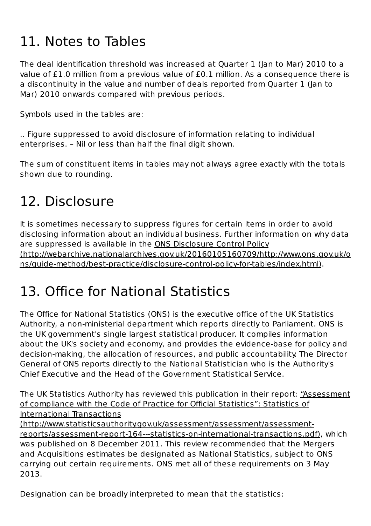# 11. Notes to Tables

The deal identification threshold was increased at Quarter 1 (Jan to Mar) 2010 to a value of £1.0 million from a previous value of £0.1 million. As a consequence there is a discontinuity in the value and number of deals reported from Quarter 1 (Jan to Mar) 2010 onwards compared with previous periods.

Symbols used in the tables are:

... Figure suppressed to avoid disclosure of information relating to individual enterprises. - Nil or less than half the final digit shown.

The sum of constituent items in tables may not always agree exactly with the totals shown due to rounding.

## 12. Disclosure

It is sometimes necessary to suppress figures for certain items in order to avoid disclosing information about an individual business. Further information on why data are suppressed is available in the ONS Disclosure Control Policy (http://webarchive.nationalarchives.gov.uk/20160105160709/http://www.ons.gov.uk/o ns/guide-method/best-practice/disclosure-control-policy-for-tables/index.html).

## 13. Office for National Statistics

The Office for National Statistics (ONS) is the executive office of the UK Statistics Authority, a non-ministerial department which reports directly to Parliament. ONS is the UK government's single largest statistical producer. It compiles information about the UK's society and economy, and provides the evidence-base for policy and decision-making, the allocation of resources, and public accountability. The Director General of ONS reports directly to the National Statistician who is the Authority's Chief Executive and the Head of the Government Statistical Service.

The UK Statistics Authority has reviewed this publication in their report: "Assessment of compliance with the Code of Practice for Official Statistics": Statistics of International Transactions

(http://www.statisticsauthority.gov.uk/assessment/assessment/assessmentreports/assessment-report-164---statistics-on-international-transactions.pdf), which was published on 8 December 2011. This review recommended that the Mergers and Acquisitions estimates be designated as National Statistics, subject to ONS carrying out certain requirements. ONS met all of these requirements on 3 May 2013.

Designation can be broadly interpreted to mean that the statistics: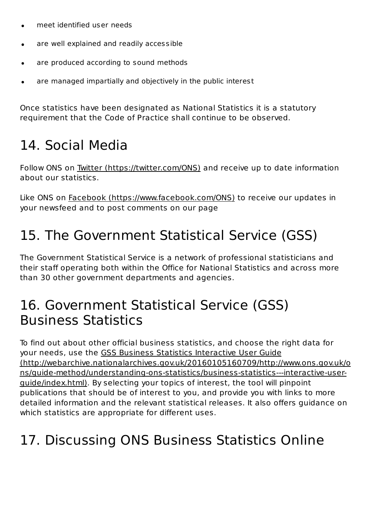- meet identified user needs  $\bullet$
- are well explained and readily accessible  $\bullet$
- are produced according to sound methods
- are managed impartially and objectively in the public interest

Once statistics have been designated as National Statistics it is a statutory requirement that the Code of Practice shall continue to be observed.

## 14. Social Media

Follow ONS on Twitter (https://twitter.com/ONS) and receive up to date information about our statistics.

Like ONS on Facebook (https://www.facebook.com/ONS) to receive our updates in your newsfeed and to post comments on our page

## 15. The Government Statistical Service (GSS)

The Government Statistical Service is a network of professional statisticians and their staff operating both within the Office for National Statistics and across more than 30 other government departments and agencies.

## 16. Government Statistical Service (GSS) Business Statistics

To find out about other official business statistics, and choose the right data for your needs, use the GSS Business Statistics Interactive User Guide (http://webarchive.nationalarchives.gov.uk/20160105160709/http://www.ons.gov.uk/o ns/guide-method/understanding-ons-statistics/business-statistics---interactive-userguide/index.html). By selecting your topics of interest, the tool will pinpoint publications that should be of interest to you, and provide you with links to more detailed information and the relevant statistical releases. It also offers quidance on which statistics are appropriate for different uses.

## 17. Discussing ONS Business Statistics Online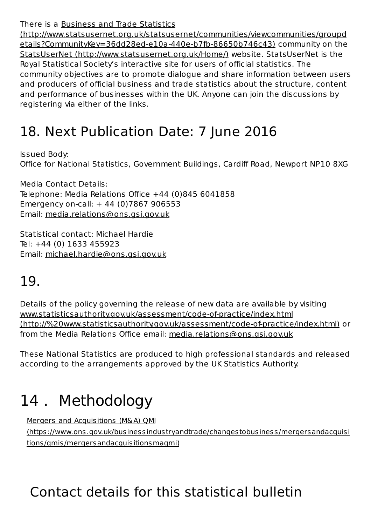There is a Business and Trade Statistics

(http://www.statsusernet.org.uk/statsusernet/communities/viewcommunities/groupd etails?CommunityKey=36dd28ed-e10a-440e-b7fb-86650b746c43) community on the StatsUserNet (http://www.statsusernet.org.uk/Home/) website. StatsUserNet is the Royal Statistical Society's interactive site for users of official statistics. The community objectives are to promote dialogue and share information between users and producers of official business and trade statistics about the structure, content and performance of businesses within the UK. Anyone can join the discussions by registering via either of the links.

## 18. Next Publication Date: 7 June 2016

Issued Body: Office for National Statistics, Government Buildings, Cardiff Road, Newport NP10 8XG

Media Contact Details: Telephone: Media Relations Office  $+44$  (0)845 6041858 Emergency on-call:  $+ 44$  (0)7867 906553 Email: media.relations@ons.gsi.gov.uk

Statistical contact: Michael Hardie Tel: +44 (0) 1633 455923 Email: michael.hardie@ons.gsi.gov.uk

## 19.

Details of the policy governing the release of new data are available by visiting www.statisticsauthority.gov.uk/assessment/code-of-practice/index.html (http://%20www.statisticsauthority.gov.uk/assessment/code-of-practice/index.html) or from the Media Relations Office email: media.relations@ons.gsi.gov.uk

These National Statistics are produced to high professional standards and released according to the arrangements approved by the UK Statistics Authority.

# 14. Methodology

Mergers and Acquisitions (M&A) OMI (https ://www.ons .gov.uk/busines sindus tryandtrade/changes tobusines s /mergersandacquisi tions /qmis /mergersandacquisitionsmaqmi)

# Contact details for this statistical bulletin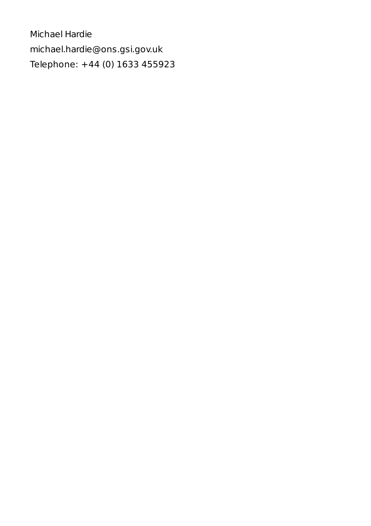Michael Hardie michael.hardie@ons.gsi.gov.uk Telephone: +44 (0) 1633 455923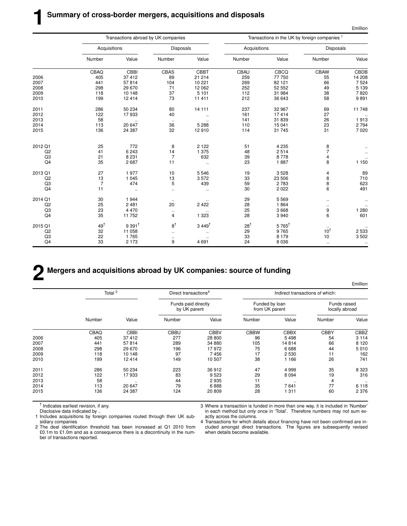| `million |
|----------|
|          |

|                | Transactions abroad by UK companies |                     |                  |                      | Transactions in the UK by foreign companies <sup>1</sup> |                  |                                       |          |
|----------------|-------------------------------------|---------------------|------------------|----------------------|----------------------------------------------------------|------------------|---------------------------------------|----------|
|                | Acquisitions                        |                     | <b>Disposals</b> |                      | Acquisitions                                             |                  | <b>Disposals</b>                      |          |
|                | Number                              | Value               | Number           | Value                | Number                                                   | Value            | Number                                | Value    |
|                | CBAQ                                | CBBI                | CBAS             | CBBT                 | CBAU                                                     | CBCQ             | <b>CBAW</b>                           | CBDB     |
| 2006           | 405                                 | 37412               | 89               | 21 214               | 259                                                      | 77 750           | 55                                    | 14 208   |
| 2007           | 441                                 | 57814               | 104              | 10 221               | 269                                                      | 82 121           | 66                                    | 7 5 24   |
| 2008           | 298                                 | 29 670              | 71               | 12 0 62              | 252                                                      | 52 552           | 49                                    | 5 1 3 9  |
| 2009           | 118                                 | 10 148              | 37               | 5 1 0 1              | 112                                                      | 31 984           | 38                                    | 7820     |
| 2010           | 199                                 | 12414               | 73               | 11 411               | 212                                                      | 36 643           | 58                                    | 9891     |
| 2011           | 286                                 | 50 234              | 80               | 14 111               | 237                                                      | 32 967           | 69                                    | 11 748   |
| 2012           | 122                                 | 17933               | 40               | $\ddotsc$            | 161                                                      | 17414            | 27                                    | $\ldots$ |
| 2013           | 58                                  |                     | $\cdots$         |                      | 141                                                      | 31 839           | 26                                    | 1913     |
| 2014           | 113                                 | 20 647              | 36               | 5 2 8 8              | 110                                                      | 15 041           | 23                                    | 2 7 9 4  |
| 2015           | 136                                 | 24 387              | 32               | 12910                | 114                                                      | 31 745           | 31                                    | 7 0 20   |
|                |                                     |                     |                  |                      |                                                          |                  |                                       |          |
| 2012 Q1        | 25                                  | 772                 | 8                | 2 1 2 2              | 51                                                       | 4 2 3 5          | 8                                     |          |
| Q2             | 41                                  | 6 2 4 3             | 14               | 1 375                | 48                                                       | 2514             | $\overline{\mathcal{I}}$              |          |
| Q3             | 21                                  | 8 2 3 1             | 7                | 632                  | 39                                                       | 8778             | $\pmb{4}$                             |          |
| Q4             | 35                                  | 2687                | 11               | $\ddot{\phantom{a}}$ | 23                                                       | 1887             | 8                                     | 1 150    |
| 2013 Q1        | 27                                  | 1977                | 10               | 5546                 | 19                                                       | 3528             | 4                                     | 89       |
| Q <sub>2</sub> | 13                                  | 1 0 4 5             | 13               | 3572                 | 33                                                       | 23 506           |                                       | 710      |
| Q3             | $\overline{7}$                      | 474                 | 5                | 439                  | 59                                                       | 2 7 8 3          | $\begin{array}{c} 8 \\ 8 \end{array}$ | 623      |
| Q4             | 11                                  | $\ddotsc$           | $\ldots$         | $\ddotsc$            | 30                                                       | 2 0 2 2          | 6                                     | 491      |
| 2014 Q1        | 30                                  | 1944                | $\ddotsc$        |                      | 29                                                       | 5 5 6 9          | $\ldots$                              |          |
| Q2             | 25                                  | 2481                | 20               | 2 4 2 2              | 28                                                       | 1864             | $\cdot$ .                             |          |
| Q3             | 23                                  | 4 4 7 0             | $\ldots$         |                      | 25                                                       | 3 6 6 8          | 9                                     | 1 2 8 0  |
| Q4             | 35                                  | 11752               | 4                | 1 3 2 3              | 28                                                       | 3 9 4 0          | 6                                     | 601      |
| 2015 Q1        | $49^{\dagger}$                      | $9391$ <sup>t</sup> | $8^{\dagger}$    | $3449^{\dagger}$     | $28^{\dagger}$                                           | $5765^{\dagger}$ |                                       |          |
| Q2             | 32                                  | 11 058              | $\ddotsc$        |                      | 29                                                       | 9765             |                                       | 2 5 3 3  |
|                |                                     | 1765                |                  |                      |                                                          | 8 1 7 9          |                                       | 3 5 0 2  |
|                |                                     |                     |                  |                      |                                                          |                  |                                       |          |
| Q3<br>Q4       | 22<br>33                            | 2 1 7 3             | $\cdot$ .<br>9   | 4691                 | 33<br>24                                                 | 8 0 3 6          | 10 <sup>†</sup><br>10<br>$\cdot$ .    |          |

# **2 Mergers and acquisitions abroad by UK companies: source of funding**

|      |                    |             |                                     |                                  |                                  |                                 |                                | <b>£million</b> |  |
|------|--------------------|-------------|-------------------------------------|----------------------------------|----------------------------------|---------------------------------|--------------------------------|-----------------|--|
|      | Total <sup>3</sup> |             |                                     | Direct transactions <sup>4</sup> |                                  | Indirect transactions of which: |                                |                 |  |
|      |                    |             | Funds paid directly<br>by UK parent |                                  | Funded by loan<br>from UK parent |                                 | Funds raised<br>locally abroad |                 |  |
|      | Number             | Value       | Number                              | Value                            | Number                           | Value                           | Number                         | Value           |  |
|      | CBAQ               | <b>CBBI</b> | <b>CBBU</b>                         | <b>CBBV</b>                      | <b>CBBW</b>                      | <b>CBBX</b>                     | <b>CBBY</b>                    | CBBZ            |  |
| 2006 | 405                | 37412       | 277                                 | 28 800                           | 96                               | 5498                            | 54                             | 3 1 1 4         |  |
| 2007 | 441                | 57814       | 289                                 | 34 880                           | 105                              | 14814                           | 66                             | 8 1 2 0         |  |
| 2008 | 298                | 29 670      | 196                                 | 17972                            | 75                               | 6688                            | 44                             | 5010            |  |
| 2009 | 118                | 10 148      | 97                                  | 7456                             | 17                               | 2530                            | 11                             | 162             |  |
| 2010 | 199                | 12414       | 149                                 | 10 507                           | 38                               | 1 1 6 6                         | 26                             | 741             |  |
| 2011 | 286                | 50 234      | 223                                 | 36 912                           | 47                               | 4 9 9 9                         | 35                             | 8 3 2 3         |  |
| 2012 | 122                | 17933       | 83                                  | 9523                             | 29                               | 8 0 9 4                         | 19                             | 316             |  |
| 2013 | 58                 | $\cdot$ .   | 44                                  | 2935                             | 11                               | $\cdot$                         | 4                              | $\ddotsc$       |  |
| 2014 | 113                | 20 647      | 79                                  | 6888                             | 35                               | 7641                            | 77                             | 6 1 1 8         |  |
| 2015 | 136                | 24 387      | 124                                 | 20 809                           | 28                               | 1311                            | 60                             | 2 3 7 6         |  |

† Indicates earliest revision, if any.

Disclosive data indicated by ..

1 Includes acquisitions by foreign companies routed through their UK subsidiary companies

2 The deal identification threshold has been increased at Q1 2010 from £0.1m to £1.0m and as a consequence there is a discontinuity in the number of transactions reported.

3 Where a transaction is funded in more than one way, it is included in 'Number' in each method but only once in 'Total'. Therefore numbers may not sum exactly across the columns.

4 Transactions for which details about financing have not been confirmed are included amongst direct transactions. The figures are subsequently revised when details become available.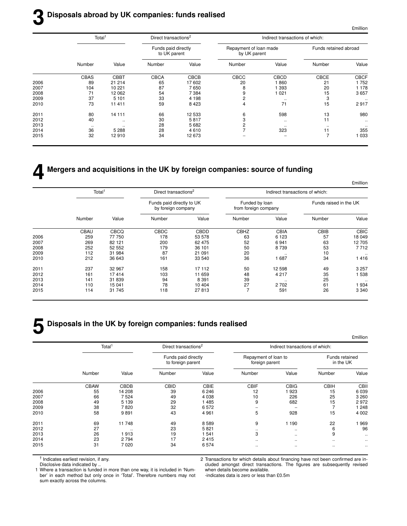#### **3 Disposals abroad by UK companies: funds realised**

 $\Delta$ million

|      | Total <sup>1</sup> |             | Direct transactions <sup>2</sup>    |         | Indirect transactions of which:        |           |                       |             |  |
|------|--------------------|-------------|-------------------------------------|---------|----------------------------------------|-----------|-----------------------|-------------|--|
|      |                    |             | Funds paid directly<br>to UK parent |         | Repayment of loan made<br>by UK parent |           | Funds retained abroad |             |  |
|      | Number             | Value       | Number                              | Value   | Number                                 | Value     | Number                | Value       |  |
|      | <b>CBAS</b>        | <b>CBBT</b> | <b>CBCA</b>                         | CBCB    | CBCC                                   | CBCD      | CBCE                  | <b>CBCF</b> |  |
| 2006 | 89                 | 21 214      | 65                                  | 17 602  | 20                                     | 860       | 21                    | 1752        |  |
| 2007 | 104                | 10 221      | 87                                  | 7650    | 8                                      | 393       | 20                    | 1 1 7 8     |  |
| 2008 | 71                 | 12 062      | 54                                  | 7 3 8 4 | 9                                      | 021       | 15                    | 3657        |  |
| 2009 | 37                 | 5 1 0 1     | 33                                  | 4 1 9 8 | 2                                      | $\cdot$ . | 3                     | $\cdot$     |  |
| 2010 | 73                 | 11 411      | 59                                  | 8 4 2 3 | 4                                      | 71        | 15                    | 2917        |  |
| 2011 | 80                 | 14 111      | 66                                  | 12 533  | 6                                      | 598       | 13                    | 980         |  |
| 2012 | 40                 | $\ddotsc$   | 30                                  | 5817    | 3                                      | $\cdot$ . | 11                    |             |  |
| 2013 | $\sim$             | $\cdot$ .   | 28                                  | 5682    |                                        | $\ldots$  | $\cdot$ .             | $\ldots$    |  |
| 2014 | 36                 | 5 2 8 8     | 28                                  | 4610    |                                        | 323       | 11                    | 355         |  |
| 2015 | 32                 | 12910       | 34                                  | 12 673  |                                        |           | $\overline{7}$        | 033         |  |
|      |                    |             |                                     |         |                                        |           |                       |             |  |

# **4 Mergers and acquisitions in the UK by foreign companies: source of funding**

|             |                        | Indirect transactions of which: |                                        |             | Direct transactions <sup>2</sup>                |             | Total <sup>1</sup> |      |
|-------------|------------------------|---------------------------------|----------------------------------------|-------------|-------------------------------------------------|-------------|--------------------|------|
|             | Funds raised in the UK |                                 | Funded by loan<br>from foreign company |             | Funds paid directly to UK<br>by foreign company |             |                    |      |
| Value       | Number                 | Value                           | Number                                 | Value       | Number                                          | Value       | Number             |      |
| <b>CBIC</b> | CBIB                   | CBIA                            | <b>CBHZ</b>                            | <b>CBDD</b> | <b>CBDC</b>                                     | <b>CBCQ</b> | <b>CBAU</b>        |      |
| 18 049      | 57                     | 6 1 2 3                         | 63                                     | 53 578      | 178                                             | 77 750      | 259                | 2006 |
| 12 705      | 63                     | 6941                            | 52                                     | 62 475      | 200                                             | 82 121      | 269                | 2007 |
| 7 7 1 2     | 53                     | 8 7 3 9                         | 50                                     | 36 101      | 179                                             | 52 552      | 252                | 2008 |
| $\ldots$    | 10                     |                                 | 20                                     | 21 091      | 87                                              | 31 984      | 112                | 2009 |
| 1416        | 34                     | 1 687                           | 36                                     | 33 540      | 161                                             | 36 643      | 212                | 2010 |
| 3 2 5 7     | 49                     | 12 598                          | 50                                     | 17 112      | 158                                             | 32 967      | 237                | 2011 |
| 538         | 35                     | 4 2 1 7                         | 48                                     | 11 659      | 103                                             | 17414       | 161                | 2012 |
| $\ldots$    | 25                     | $\ddotsc$                       | 39                                     | 8 3 9 1     | 94                                              | 31 839      | 141                | 2013 |
| 934         | 61                     | 2 7 0 2                         | 27                                     | 10 404      | 78                                              | 15 041      | 110                | 2014 |
| 3 3 4 0     | 26                     | 591                             | $\overline{7}$                         | 27813       | 118                                             | 31 745      | 114                | 2015 |

# **5 Disposals in the UK by foreign companies: funds realised**

|             |                             | Indirect transactions of which: |                                        |         | Direct transactions <sup>2</sup>         |         | Total <sup>1</sup> |      |
|-------------|-----------------------------|---------------------------------|----------------------------------------|---------|------------------------------------------|---------|--------------------|------|
|             | Funds retained<br>in the UK |                                 | Repayment of loan to<br>foreign parent |         | Funds paid directly<br>to foreign parent |         |                    |      |
| Value       | Number                      | Value                           | Number                                 | Value   | Number                                   | Value   | Number             |      |
| <b>CBII</b> | <b>CBIH</b>                 | <b>CBIG</b>                     | <b>CBIF</b>                            | CBIE    | <b>CBID</b>                              | CBDB    | <b>CBAW</b>        |      |
| 6 0 3 9     | 15                          | 923                             | 12                                     | 6 2 4 6 | 39                                       | 14 208  | 55                 | 2006 |
| 3 2 6 0     | 25                          | 226                             | 10                                     | 4 0 38  | 49                                       | 7524    | 66                 | 2007 |
| 2972        | 15                          | 682                             | 9                                      | 1485    | 29                                       | 5 1 3 9 | 49                 | 2008 |
| 248         |                             |                                 |                                        | 6572    | 32                                       | 7820    | 38                 | 2009 |
| 4 0 0 2     | 15                          | 928                             | 5                                      | 4 9 6 1 | 43                                       | 9891    | 58                 | 2010 |
| 969         | 22                          | 1 1 9 0                         | 9                                      | 8589    | 49                                       | 11748   | 69                 | 2011 |
| 96          | 6                           | $\cdot$ .                       | $\cdot$                                | 5821    | 23                                       |         | 27                 | 2012 |
|             | 9                           | $\sim$ $\sim$                   | 3                                      | 541     | 19                                       | 1913    | 26                 | 2013 |
| ٠.          |                             | $\sim$ $\sim$                   | $\cdot$ .                              | 2415    | 17                                       | 2794    | 23                 | 2014 |
| $\ddotsc$   | $\cdot$ .                   | $\cdot$ .                       | $\cdot$                                | 6574    | 34                                       | 7020    | 31                 | 2015 |

† Indicates earliest revision, if any.

Disclosive data indicated by ..

2 Transactions for which details about financing have not been confirmed are included amongst direct transactions. The figures are subsequently revised when details become available.

1 Where a transaction is funded in more than one way, it is included in 'Number' in each method but only once in 'Total'. Therefore numbers may not sum exactly across the columns.

-indicates data is zero or less than £0.5m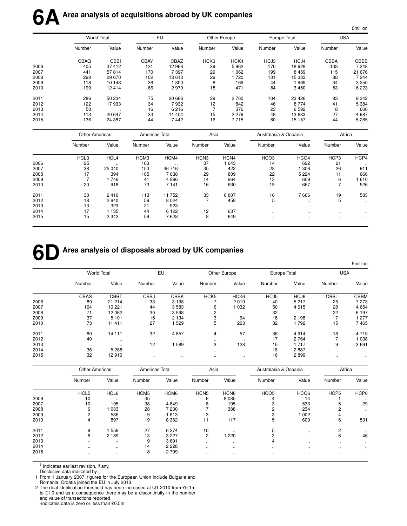|      |                       |                      |                |           |                  |              |                       |                  |                      | £million  |
|------|-----------------------|----------------------|----------------|-----------|------------------|--------------|-----------------------|------------------|----------------------|-----------|
|      |                       | <b>World Total</b>   |                | EU        |                  | Other Europe | Europe Total          |                  | <b>USA</b>           |           |
|      | Number                | Value                | Number         | Value     | Number           | Value        | Number                | Value            | Number               | Value     |
|      | CBAQ                  | <b>CBBI</b>          | <b>CBAY</b>    | CBAZ      | HCK <sub>3</sub> | HCK4         | HCJ3                  | HCJ4             | <b>CBBA</b>          | CBBB      |
| 2006 | 405                   | 37 412               | 131            | 12 966    | 39               | 5962         | 170                   | 18 9 28          | 138                  | 7 3 4 8   |
| 2007 | 441                   | 57814                | 170            | 7397      | 29               | 1 0 6 2      | 199                   | 8 4 5 9          | 115                  | 21 676    |
| 2008 | 298                   | 29 670               | 102            | 13613     | 29               | 1720         | 131                   | 15 333           | 88                   | 7 244     |
| 2009 | 118                   | 10 148               | 36             | 1800      | 8                | 169          | 44                    | 1969             | 34                   | 3 2 5 0   |
| 2010 | 199                   | 12 4 14              | 66             | 2979      | 18               | 471          | 84                    | 3 4 5 0          | 53                   | 6 2 2 3   |
| 2011 | 286                   | 50 234               | 75             | 20 666    | 29               | 2760         | 104                   | 23 4 26          | 83                   | 9 3 4 2   |
| 2012 | 122                   | 17933                | 34             | 7932      | 12               | 842          | 46                    | 8 7 7 4          | 41                   | 5 3 8 4   |
| 2013 | 58                    |                      | 16             | 6216      | $\overline{7}$   | 376          | 23                    | 6 5 9 2          | 8                    | 600       |
| 2014 | 113                   | 20 647               | 33             | 11 404    | 15               | 2 2 7 9      | 48                    | 13 683           | 27                   | 4 9 8 7   |
| 2015 | 136                   | 24 387               | 44             | 7442      | 16               | 7715         | 60                    | 15 157           | 44                   | 5 2 8 5   |
|      | <b>Other Americas</b> |                      | Americas Total |           | Asia             |              | Australasia & Oceania |                  | Africa               |           |
|      | Number                | Value                | Number         | Value     | Number           | Value        | Number                | Value            | Number               | Value     |
|      | HCL3                  | HCL4                 | HCM3           | HCM4      | HCN <sub>3</sub> | HCN4         | HCO <sub>3</sub>      | HCO <sub>4</sub> | HCP3                 | HCP4      |
| 2006 | 25                    | $\ddot{\phantom{a}}$ | 163            | $\ddotsc$ | 37               | 1 643        | 14                    | 692              | 21                   |           |
| 2007 | 38                    | 25 040               | 153            | 46 716    | 35               | 422          | 28                    | 1 3 0 6          | 26                   | 911       |
| 2008 | 17                    | 394                  | 105            | 7638      | 29               | 809          | 22                    | 5 2 2 4          | 11                   | 666       |
| 2009 | $\overline{7}$        | 1746                 | 41             | 4 9 9 6   | 14               | 964          | 13                    | 609              | 6                    | 1610      |
| 2010 | 20                    | 918                  | 73             | 7 1 4 1   | 16               | 630          | 19                    | 667              | $\overline{7}$       | 526       |
| 2011 | 30                    | 2410                 | 113            | 11 752    | 33               | 6807         | 16                    | 7666             | 19                   | 583       |
| 2012 | 18                    | 2640                 | 59             | 8 0 24    | 7                | 458          | 5                     | $\ddotsc$        | 5                    |           |
| 2013 | 13                    | 323                  | 21             | 923       | $\ddotsc$        | $\sim$       | $\ddot{\phantom{a}}$  | $\ddotsc$        | $\ddot{\phantom{0}}$ |           |
| 2014 | 17                    | 1 1 3 5              | 44             | 6 1 2 2   | 12               | 637          | $\ddotsc$             | $\ddotsc$        |                      |           |
| 2015 | 15                    | 2 3 4 2              | 59             | 7628      | 8                | 649          | $\ddotsc$             | $\ddotsc$        |                      | $\ddotsc$ |
|      |                       |                      |                |           |                  |              |                       |                  |                      |           |

### **6DArea analysis of disposals abroad by UK companies**

|      |           |                    |             |             |                  |                  |        |              |             | £million |
|------|-----------|--------------------|-------------|-------------|------------------|------------------|--------|--------------|-------------|----------|
|      |           | <b>World Total</b> |             | EU          |                  | Other Europe     |        | Europe Total | <b>USA</b>  |          |
|      | Number    | Value              | Number      | Value       | Number           | Value            | Number | Value        | Number      | Value    |
|      | CBAS      | <b>CBBT</b>        | <b>CBBJ</b> | <b>CBBK</b> | HCK <sub>5</sub> | HCK <sub>6</sub> | HCJ5   | HCJ6         | <b>CBBL</b> | CBBM     |
| 2006 | 89        | 21 214             | 33          | 3 1 9 8     |                  | 2019             | 40     | 5 2 1 7      | 25          | 7 2 7 3  |
| 2007 | 104       | 10 221             | 44          | 3583        | 6                | 1 0 3 2          | 50     | 4615         | 28          | 4 6 5 4  |
| 2008 | 71        | 12062              | 30          | 3598        | 2                |                  | 32     | $\ddotsc$    | 22          | 6 1 9 7  |
| 2009 | 37        | 5 1 0 1            | 15          | 2 1 3 4     | 3                | 64               | 18     | 2 1 9 8      | ⇁           | 277      |
| 2010 | 73        | 11 411             | 27          | 529         | 5                | 263              | 32     | 792          | 15          | 7465     |
| 2011 | 80        | 14 11 1            | 32          | 4857        | 4                | 57               | 36     | 4914         | 18          | 4715     |
| 2012 | 40        | $\cdot$ .          | $\cdot$ .   | $\cdot$ .   | $\cdot$ .        |                  | 17     | 2 7 6 4      | -           | 1038     |
| 2013 | $\cdot$ . | $\sim$             | 12          | 589         | 3                | 128              | 15     | 1 7 1 7      | 9           | 3691     |
| 2014 | 36        | 5 2 8 8            | $\ddotsc$   | $\ddotsc$   | $\cdot$ .        | $\ddotsc$        | 18     | 2887         | $\sim$      | $\cdots$ |
| 2015 | 32        | 12910              | $\cdot$ .   | $\cdot$ .   | $\cdot$ .        | $\ddotsc$        | 16     | 2899         | $\ldots$    | $\cdot$  |

|      | <b>Other Americas</b> |                          | Americas Total   |                  | Asia             |                  | Australasia & Oceania |                  | Africa           |                      |
|------|-----------------------|--------------------------|------------------|------------------|------------------|------------------|-----------------------|------------------|------------------|----------------------|
|      | Number                | Value                    | Number           | Value            | Number           | Value            | Number                | Value            | Number           | Value                |
|      | HCL <sub>5</sub>      | HCL6                     | HCM <sub>5</sub> | HCM <sub>6</sub> | HCN <sub>5</sub> | HCN <sub>6</sub> | HCO <sub>5</sub>      | HCO <sub>6</sub> | HCP <sub>5</sub> | HCP6                 |
| 2006 | 10                    | $\cdot$ .                | 35               | $\cdot$ .        | 9                | 8 0 8 5          | 4                     | 14               |                  | $\cdots$             |
| 2007 | 10                    | 195                      | 38               | 4849             | 8                | 195              |                       | 533              | 5.               | 29                   |
| 2008 | 6                     | 033                      | 28               | 7 2 3 0          |                  | 388              |                       | 234              |                  | $\sim$ $\sim$        |
| 2009 | 2                     | 536                      | 9                | 1813             | 3                | $\ddotsc$        |                       | 002              | 4                | $\ddot{\phantom{a}}$ |
| 2010 | 4                     | 897                      | 19               | 8 3 6 2          | 11               | 117              | 5                     | 609              | 6                | 531                  |
| 2011 | 9                     | 559                      | 27               | 6 2 7 4          | 10               | $\cdot$ .        | 5                     | $\cdots$         | 2                |                      |
| 2012 | 6                     | 2 1 8 9                  | 13               | 3 2 2 7          | $\overline{c}$   | 220              |                       | $\ddotsc$        | 6                | 46                   |
| 2013 |                       | $\overline{\phantom{0}}$ | 9                | 3691             |                  | $\cdot$ .        | 4                     | $\cdots$         | $\ddotsc$        | $\cdot$              |
| 2014 | $\cdot$ .             | $\ddotsc$                | 14               | 2 2 2 8          | $\ddotsc$        | $\ddotsc$        | $\ldots$              | $\ddotsc$        | $\ddotsc$        |                      |
| 2015 | $\cdots$              | $\cdot$ .                | 8                | 2799             | $\cdot$ .        | $\cdot$ .        | $\cdot$ .             | $\cdots$         | $\ddotsc$        |                      |

† Indicates earliest revision, if any.

Disclosive data indicated by ...

1 From 1 January 2007, figures for the European Union include Bulgaria and Romania. Croatia joined the EU in July 2013.

2 The deal idetification threshold has been increased at Q1 2010 from £0.1m to £1.0 and as a consequence there may be a discontinuity in the number and value of transactions reported -indicates data is zero or less than £0.5m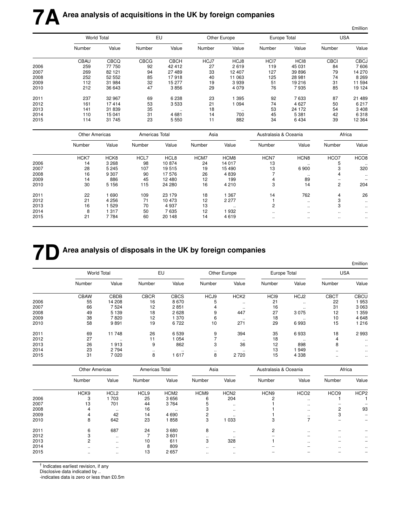|      |                       |                    |                |             |        |              |                       |                      |             | £million         |
|------|-----------------------|--------------------|----------------|-------------|--------|--------------|-----------------------|----------------------|-------------|------------------|
|      |                       | <b>World Total</b> |                | EU          |        | Other Europe | Europe Total          |                      | <b>USA</b>  |                  |
|      | Number                | Value              | Number         | Value       | Number | Value        | Number                | Value                | Number      | Value            |
|      | <b>CBAU</b>           | <b>CBCQ</b>        | <b>CBCG</b>    | <b>CBCH</b> | HCJ7   | HCJ8         | HCI7                  | HC <sub>18</sub>     | <b>CBCI</b> | <b>CBCJ</b>      |
| 2006 | 259                   | 77750              | 92             | 42 412      | 27     | 2619         | 119                   | 45 031               | 84          | 7606             |
| 2007 | 269                   | 82 121             | 94             | 27 489      | 33     | 12 407       | 127                   | 39 896               | 79          | 14 270           |
| 2008 | 252                   | 52 552             | 85             | 17918       | 40     | 11 063       | 125                   | 28 981               | 74          | 8 2 6 9          |
| 2009 | 112                   | 31 984             | 32             | 15 277      | 19     | 3939         | 51                    | 19 216               | 31          | 11 594           |
| 2010 | 212                   | 36 643             | 47             | 3856        | 29     | 4 0 7 9      | 76                    | 7935                 | 85          | 19 124           |
| 2011 | 237                   | 32 967             | 69             | 6 2 3 8     | 23     | 1 3 9 5      | 92                    | 7633                 | 87          | 21 489           |
| 2012 | 161                   | 17414              | 53             | 3533        | 21     | 1 0 9 4      | 74                    | 4 6 27               | 50          | 6 217            |
| 2013 | 141                   | 31839              | 35             |             | 18     |              | 53                    | 24 172               | 54          | 3 4 0 8          |
| 2014 | 110                   | 15 041             | 31             | 4681        | 14     | 700          | 45                    | 5 3 8 1              | 42          | 6318             |
| 2015 | 114                   | 31 745             | 23             | 5 5 5 0     | 11     | 882          | 34                    | 6 4 3 4              | 39          | 12 3 64          |
|      | <b>Other Americas</b> |                    | Americas Total |             | Asia   |              | Australasia & Oceania |                      | Africa      |                  |
|      | Number                | Value              | Number         | Value       | Number | Value        | Number                | Value                | Number      | Value            |
|      | HCK7                  | HCK8               | HCL7           | HCL8        | HCM7   | HCM8         | HCN7                  | HCN <sub>8</sub>     | HCO7        | HCO <sub>8</sub> |
| 2006 | 14                    | 3 2 6 8            | 98             | 10874       | 24     | 14 017       | 13                    |                      | 5           |                  |
| 2007 | 28                    | 5 2 4 5            | 107            | 19515       | 19     | 15 490       | 13                    | 6 900                | 3           | 320              |
| 2008 | 16                    | 9 3 0 7            | 90             | 17576       | 26     | 4839         | $\overline{7}$        |                      | 4           | $\ddotsc$        |
| 2009 | 14                    | 886                | 45             | 12 480      | 12     | 199          | $\overline{4}$        | 89                   | -           |                  |
| 2010 | 30                    | 5 1 5 6            | 115            | 24 280      | 16     | 4 2 1 0      | 3                     | 14                   | 2           | 204              |
| 2011 | 22                    | 1 6 9 0            | 109            | 23 179      | 18     | 1 3 6 7      | 14                    | 762                  | 4           | 26               |
| 2012 | 21                    | 4 2 5 6            | 71             | 10 473      | 12     | 2 2 7 7      | $\mathbf{1}$          | $\ddotsc$            | 3           | $\ddotsc$        |
| 2013 | 16                    | 1 5 2 9            | 70             | 4 9 3 7     | 13     | $\ldots$     | $\overline{c}$        | $\ddot{\phantom{a}}$ | 3           | $\ddotsc$        |
| 2014 | 8                     | 1 3 1 7            | 50             | 7635        | 12     | 1932         | $\ddot{\phantom{a}}$  | $\ddotsc$            | $\ddotsc$   |                  |
| 2015 | 21                    | 7 7 8 4            | 60             | 20 148      | 14     | 4619         | $\ddotsc$             | $\ddotsc$            | $\ddotsc$   | $\ddotsc$        |

# **7D** Area analysis of disposals in the UK by foreign companies

|      |                    |         |             |             |          |                      |                  |              |             | £million      |
|------|--------------------|---------|-------------|-------------|----------|----------------------|------------------|--------------|-------------|---------------|
|      | <b>World Total</b> |         | EU          |             |          | Other Europe         |                  | Europe Total | <b>USA</b>  |               |
|      | Number             | Value   | Number      | Value       | Number   | Value                | Number           | Value        | Number      | Value         |
|      | <b>CBAW</b>        | CBDB    | <b>CBCR</b> | <b>CBCS</b> | HCJ9     | HCK <sub>2</sub>     | HC <sub>I9</sub> | HCJ2         | <b>CBCT</b> | <b>CBCU</b>   |
| 2006 | 55                 | 14 208  | 16          | 8670        | 5        |                      | 21               |              | 22          | 953           |
| 2007 | 66                 | 7524    | 12          | 2851        | 4        | $\ddot{\phantom{0}}$ | 16               | $\ddotsc$    | 31          | 3 0 6 3       |
| 2008 | 49                 | 5 1 3 9 | 18          | 2628        | 9        | 447                  | 27               | 3075         | 12          | 359           |
| 2009 | 38                 | 7820    | 12          | 370         | 6        | $\ddotsc$            | 18               | $\cdot$ .    | 10          | 4 6 4 8       |
| 2010 | 58                 | 9891    | 19          | 6722        | 10       | 271                  | 29               | 6993         | 15          | 1 216         |
| 2011 | 69                 | 11748   | 26          | 6 5 3 9     | 9        | 394                  | 35               | 6933         | 18          | 2993          |
| 2012 | 27                 |         | 11          | 1054        |          | $\cdot$              | 18               | $\sim$       | 4           | $\cdot$ .     |
| 2013 | 26                 | 1913    | 9           | 862         | 3        | 36                   | 12               | 898          | 8           | $\sim$ $\sim$ |
| 2014 | 23                 | 2 7 9 4 |             | $\cdot$ .   | $\cdots$ |                      | 13               | 949          | $\cdot$ .   |               |
| 2015 | 31                 | 7020    | 8           | 617         | 8        | 2720                 | 15               | 4 3 3 8      | $\cdot$ .   | $\sim$ $\sim$ |

|      | <b>Other Americas</b> |                  | Americas Total   |                      | Asia      |                  | Australasia & Oceania |                          | Africa           |                  |
|------|-----------------------|------------------|------------------|----------------------|-----------|------------------|-----------------------|--------------------------|------------------|------------------|
|      | Number                | Value            | Number           | Value                | Number    | Value            | Number                | Value                    | Number           | Value            |
|      | HCK9                  | HCL <sub>2</sub> | HCL <sub>9</sub> | HCM <sub>2</sub>     | HCM9      | HCN <sub>2</sub> | HCN <sub>9</sub>      | HCO <sub>2</sub>         | HCO <sub>9</sub> | HCP <sub>2</sub> |
| 2006 | 3                     | 703              | 25               | 3656                 | 6         | 204              | c                     | $\cdot$ .                |                  |                  |
| 2007 | 13                    | 701              | 44               | 3764                 | 5         | $\ddotsc$        |                       | $\sim$                   |                  |                  |
| 2008 |                       | $\cdot$ .        | 16               | $\ddot{\phantom{a}}$ |           | $\cdots$         |                       | $\cdot$ .                | ∩                | 93               |
| 2009 |                       | 42               | 14               | 4690                 | C         |                  |                       | $\cdot$ .                | 3                |                  |
| 2010 | 8                     | 642              | 23               | 1858                 | 3         | 1033             | 3                     |                          |                  |                  |
| 2011 | 6                     | 687              | 24               | 3680                 | 8         | $\ddotsc$        | 2                     |                          |                  |                  |
| 2012 |                       | $\cdot$ .        |                  | 3601                 |           | $\cdot$ .        |                       | $\overline{\phantom{a}}$ | $\ddotsc$        |                  |
| 2013 | 2                     | $\ddotsc$        | 10               | 611                  | 3         | 328              |                       | $\sim$                   |                  |                  |
| 2014 | $\cdot$ .             |                  | 8                | 809                  | $\cdot$ . | $\cdots$         |                       |                          | $\ddotsc$        |                  |
| 2015 | $\cdots$              | $\ddotsc$        | 13               | 2657                 | $\ddotsc$ | $\ddotsc$        |                       |                          |                  |                  |

† Indicates earliest revision, if any

Disclosive data indicated by ..

-indicates data is zero or less than £0.5m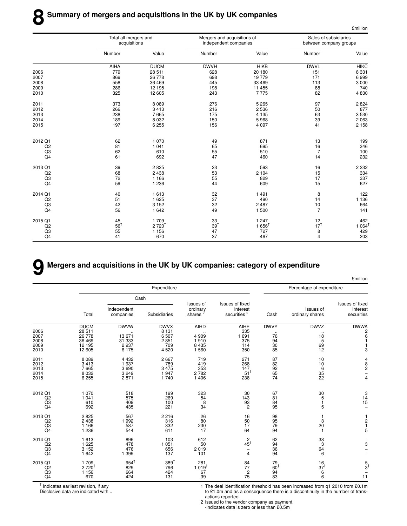|                | Total all mergers and<br>acquisitions |             | Mergers and acquisitions of<br>independent companies |                  | Sales of subsidiaries<br>between company groups |             |
|----------------|---------------------------------------|-------------|------------------------------------------------------|------------------|-------------------------------------------------|-------------|
|                | Number                                | Value       | Number                                               | Value            | Number                                          | Value       |
|                | AIHA                                  | <b>DUCM</b> | <b>DWVH</b>                                          | <b>HIKB</b>      | <b>DWVL</b>                                     | <b>HIKC</b> |
| 2006           | 779                                   | 28 511      | 628                                                  | 20 180           | 151                                             | 8 3 3 1     |
| 2007           | 869                                   | 26 778      | 698                                                  | 19779            | 171                                             | 6999        |
| 2008           | 558                                   | 36 469      | 445                                                  | 33 4 69          | 113                                             | 3 0 0 0     |
| 2009           | 286                                   | 12 195      | 198                                                  | 11 455           | 88                                              | 740         |
| 2010           | 325                                   | 12 605      | 243                                                  | 7775             | 82                                              | 4830        |
| 2011           | 373                                   | 8089        | 276                                                  | 5 2 6 5          | 97                                              | 2824        |
| 2012           | 266                                   | 3413        | 216                                                  | 2 5 3 6          | 50                                              | 877         |
| 2013           | 238                                   | 7665        | 175                                                  | 4 1 3 5          | 63                                              | 3530        |
| 2014           | 189                                   | 8 0 3 2     | 150                                                  | 5968             | 39                                              | 2 0 6 3     |
| 2015           | 197                                   | 6 2 5 5     | 156                                                  | 4 0 9 7          | 41                                              | 2 1 5 8     |
| 2012 Q1        | 62                                    | 1070        | 49                                                   | 871              | 13                                              | 199         |
| Q <sub>2</sub> | 81                                    | 1 0 4 1     | 65                                                   | 695              | 16                                              | 346         |
| Q3             | 62                                    | 610         | 55                                                   | 510              | $\overline{7}$                                  | 100         |
| Q <sub>4</sub> | 61                                    | 692         | 47                                                   | 460              | 14                                              | 232         |
| 2013 Q1        | 39                                    | 2825        | 23                                                   | 593              | 16                                              | 2 2 3 2     |
| Q <sub>2</sub> | 68                                    | 2438        | 53                                                   | 2 104            | 15                                              | 334         |
| Q3             | 72                                    | 1 1 6 6     | 55                                                   | 829              | 17                                              | 337         |
| Q4             | 59                                    | 1 2 3 6     | 44                                                   | 609              | 15                                              | 627         |
| 2014 Q1        | 40                                    | 1613        | 32                                                   | 1 4 9 1          | 8                                               | 122         |
| Q2             | 51                                    | 1 6 2 5     | 37                                                   | 490              | 14                                              | 1 1 3 6     |
| Q3             | 42                                    | 3 1 5 2     | 32                                                   | 2 4 8 7          | 10                                              | 664         |
| Q4             | 56                                    | 1642        | 49                                                   | 1 500            | $\overline{7}$                                  | 141         |
| 2015 Q1        | 45                                    | 1709        | 33                                                   | 1 2 4 7          | $\frac{12}{17}$                                 | 462         |
| Q2             | $56^{\dagger}$                        | $2720^{+}$  | 39 <sup>†</sup>                                      | $1656^{\dagger}$ |                                                 | $1064^1$    |
| Q3             | 55                                    | 1 1 5 6     | 47                                                   | 727              | 8                                               | 429         |
| Q <sub>4</sub> | 41                                    | 670         | 37                                                   | 467              | $\overline{4}$                                  | 203         |

#### **9 Mergers and acquisitions in the UK by UK companies: category of expenditure**

|                                                       |                                                     |                                            |                                               |                                                     |                                                            |                                                            |                                                          | <b>£million</b>                                                                         |
|-------------------------------------------------------|-----------------------------------------------------|--------------------------------------------|-----------------------------------------------|-----------------------------------------------------|------------------------------------------------------------|------------------------------------------------------------|----------------------------------------------------------|-----------------------------------------------------------------------------------------|
|                                                       |                                                     |                                            | Expenditure                                   |                                                     |                                                            |                                                            | Percentage of expenditure                                |                                                                                         |
|                                                       |                                                     |                                            | Cash                                          |                                                     |                                                            |                                                            |                                                          |                                                                                         |
|                                                       | Total                                               | Independent<br>companies                   | Subsidiaries                                  | Issues of<br>ordinary<br>shares <sup>2</sup>        | Issues of fixed<br>interest<br>securities <sup>2</sup>     | Cash                                                       | Issues of<br>ordinary shares                             | Issues of fixed<br>interest<br>securities                                               |
| 2006<br>2007<br>2008<br>2009                          | <b>DUCM</b><br>28 511<br>26 778<br>36 469<br>12 195 | <b>DWVW</b><br>13 671<br>31 333<br>2937    | <b>DWVX</b><br>8 1 3 1<br>6507<br>2851<br>709 | AIHD<br>4 9 0 9<br>1910<br>8 4 3 5                  | <b>AIHE</b><br>335<br>1 691<br>375<br>114                  | <b>DWVY</b><br>$\cdot\cdot$<br>76<br>94<br>$\overline{30}$ | <b>DWVZ</b><br>18<br>5<br>69                             | <b>DWWA</b><br>$\overline{\mathbf{c}}$<br>6<br>$\mathbf{1}$                             |
| 2010                                                  | 12 605                                              | 6 175                                      | 4520                                          | 1 560                                               | 350                                                        | 85                                                         | 12                                                       | 3                                                                                       |
| 2011<br>2012<br>2013<br>2014<br>2015                  | 8 0 8 9<br>3413<br>7665<br>8 0 3 2<br>6 2 5 5       | 4 4 3 2<br>1937<br>3690<br>3 2 4 9<br>2871 | 2667<br>789<br>3 4 7 5<br>1947<br>1740        | 719<br>419<br>353<br>2782<br>1 4 0 6                | 271<br>268<br>147<br>51 <sup>†</sup><br>238                | 87<br>82<br>$\frac{92}{65}$<br>74                          | 10<br>10<br>$\begin{array}{c} 6 \\ 35 \end{array}$<br>22 | $\begin{array}{c} 4 \\ 8 \\ 2 \end{array}$<br>$\overline{a}$<br>$\overline{\mathbf{4}}$ |
| 2012 Q1<br>Q2<br>$\overline{Q}$ 3<br>$\overline{Q}$ 4 | 1 0 7 0<br>1 0 4 1<br>610<br>692                    | 518<br>575<br>409<br>435                   | 199<br>269<br>100<br>221                      | 323<br>$\begin{array}{c} 54 \\ 8 \\ 34 \end{array}$ | 30<br>143<br>$\frac{93}{2}$                                | 67<br>81<br>84<br>95                                       | 30<br>5<br>1<br>5                                        | $\begin{array}{c} 3 \\ 14 \\ 15 \end{array}$                                            |
| 2013 Q1<br>Q2<br>Q3<br>Q <sub>4</sub>                 | 2825<br>2 4 3 8<br>1 1 6 6<br>1 2 3 6               | 567<br>992<br>587<br>544                   | 2216<br>316<br>332<br>611                     | 26<br>80<br>230<br>17                               | 16<br>50<br>17<br>64                                       | 98<br>95<br>79<br>94                                       | 3<br>20<br>1                                             | $\begin{array}{c} 1 \\ 2 \\ 1 \end{array}$<br>5                                         |
| 2014 Q1<br>Q2<br>Q3<br>Q <sub>4</sub>                 | 1613<br>1 6 2 5<br>3 1 5 2<br>1 642                 | 896<br>478<br>476<br>1 3 9 9               | 103<br>1 0 5 1<br>656<br>137                  | 612<br>50<br>2019<br>101                            | $rac{2}{45}$<br>$\overline{\phantom{m}}$<br>$\overline{4}$ | 62<br>$\frac{94}{36}$<br>94                                | 38<br>3<br>64<br>6                                       | 3                                                                                       |
| 2015 Q1<br>Q2<br>Q <sub>3</sub><br>Q4                 | 1709<br>$2720^{1}$<br>1 1 5 6<br>670                | $954^{\dagger}$<br>829<br>664<br>424       | $389^{\dagger}$<br>796<br>424<br>131          | 281<br>$1.019^{t}$<br>67<br>39                      | 84<br>77<br>$\overline{\mathbf{c}}$<br>75                  | 79<br>60 <sup>†</sup><br>94<br>83                          | 16<br>37 <sup>†</sup><br>6<br>6                          | $\frac{5}{3}$<br>$\overline{\phantom{0}}$<br>11                                         |

† Indicates earliest revision, if any

Disclosive data are indicated with ..

1 The deal identification threshold has been increased from q1 2010 from £0.1m to £1.0m and as a consequence there is a discontinuity in the number of transactions reported.

2 Issued to the vendor company as payment.

-indicates data is zero or less than £0.5m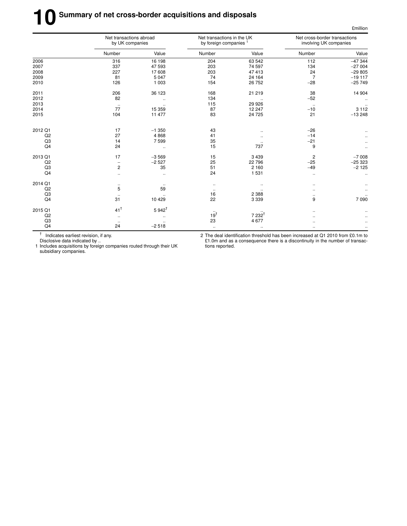# **10** Summary of net cross-border acquisitions and disposals

|         | Net transactions abroad<br>by UK companies |                      | Net transactions in the UK<br>by foreign companies <sup>1</sup> |                  | Net cross-border transactions<br>involving UK companies |           |  |
|---------|--------------------------------------------|----------------------|-----------------------------------------------------------------|------------------|---------------------------------------------------------|-----------|--|
|         | Number                                     | Value                | Number                                                          | Value            | Number                                                  | Value     |  |
| 2006    | 316                                        | 16 198               | 204                                                             | 63 542           | 112                                                     | $-47344$  |  |
| 2007    | 337                                        | 47 593               | 203                                                             | 74 597           | 134                                                     | $-27004$  |  |
| 2008    | 227                                        | 17608                | 203                                                             | 47 413           | 24                                                      | $-29805$  |  |
| 2009    | 81                                         | 5 0 4 7              | 74                                                              | 24 164           | $\overline{7}$                                          | $-19117$  |  |
| 2010    | 126                                        | 1 0 0 3              | 154                                                             | 26 752           | $-28$                                                   | $-25749$  |  |
| 2011    | 206                                        | 36 123               | 168                                                             | 21 219           | 38                                                      | 14 904    |  |
| 2012    | 82                                         | $\ddotsc$            | 134                                                             |                  | $-52$                                                   |           |  |
| 2013    | $\cdot$ .                                  | $\ddotsc$            | 115                                                             | 29 9 26          | $\ddot{\phantom{1}}$                                    |           |  |
| 2014    | 77                                         | 15 359               | 87                                                              | 12 247           | $-10$                                                   | 3 1 1 2   |  |
| 2015    | 104                                        | 11 477               | 83                                                              | 24 7 25          | 21                                                      | $-13248$  |  |
| 2012 Q1 | 17                                         | $-1350$              | 43                                                              |                  | $-26$                                                   |           |  |
| Q2      | 27                                         | 4868                 | 41                                                              |                  | $-14$                                                   |           |  |
| Q3      | 14                                         | 7599                 | 35                                                              |                  | $-21$                                                   |           |  |
| Q4      | 24                                         | $\ddotsc$            | 15                                                              | 737              | 9                                                       | $\ddotsc$ |  |
| 2013 Q1 | 17                                         | $-3569$              | 15                                                              | 3 4 3 9          | $\overline{\mathbf{c}}$                                 | $-7008$   |  |
| Q2      | $\overline{\phantom{m}}$                   | $-2527$              | 25                                                              | 22 796           | $-25$                                                   | $-25323$  |  |
| Q3      | $\overline{2}$                             | 35                   | 51                                                              | 2 1 6 0          | $-49$                                                   | $-2125$   |  |
| Q4      | $\ddotsc$                                  | $\ddotsc$            | 24                                                              | 1 5 3 1          | $\ddotsc$                                               |           |  |
| 2014 Q1 | $\ddotsc$                                  | $\cdot$ .            | $\ldots$                                                        | $\ddotsc$        | $\ddotsc$                                               |           |  |
| Q2      | 5                                          | 59                   | $\bullet$ .                                                     |                  |                                                         |           |  |
| Q3      | $\ldots$                                   |                      | 16                                                              | 2 3 8 8          | $\ddotsc$                                               |           |  |
| Q4      | 31                                         | 10 4 29              | 22                                                              | 3 3 3 9          | 9                                                       | 7090      |  |
| 2015 Q1 | $41^{\dagger}$                             | $5942^{\dagger}$     |                                                                 |                  |                                                         |           |  |
| Q2      | $\ddotsc$                                  |                      | 19 <sup>†</sup>                                                 | $7232^{\dagger}$ |                                                         |           |  |
| Q3      | $\ddotsc$                                  | $\ddot{\phantom{a}}$ | 23                                                              | 4 6 7 7          | $\ddotsc$                                               |           |  |
| Q4      | 24                                         | $-2518$              | $\ldots$                                                        | $\ddotsc$        | $\ddotsc$                                               |           |  |

† Indicates earliest revision, if any.

2 The deal identification threshold has been increased at Q1 2010 from £0.1m to £1.0m and as a consequence there is a discontinuity in the number of transactions reported.

£million

Disclosive data indicated by .. 1 Includes acquisitions by foreign companies routed through their UK subsidiary companies.